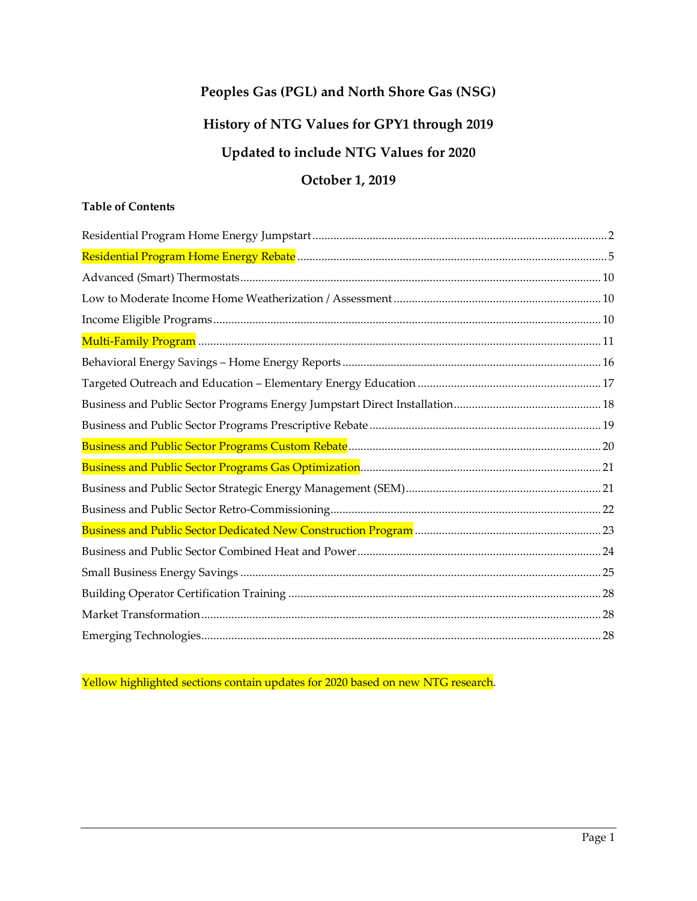# **Peoples Gas (PGL) and North Shore Gas (NSG) History of NTG Values for GPY1 through 2019 Updated to include NTG Values for 2020**

## **October 1, 2019**

### **Table of Contents**

Yellow highlighted sections contain updates for 2020 based on new NTG research.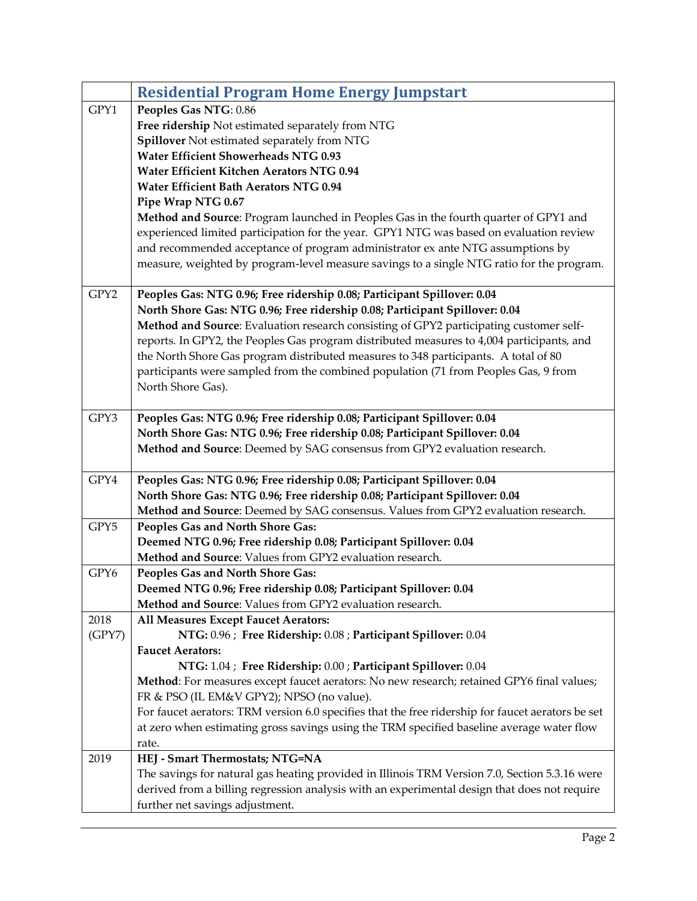<span id="page-1-0"></span>

|        | <b>Residential Program Home Energy Jumpstart</b>                                                                                                            |
|--------|-------------------------------------------------------------------------------------------------------------------------------------------------------------|
| GPY1   | Peoples Gas NTG: 0.86                                                                                                                                       |
|        | Free ridership Not estimated separately from NTG                                                                                                            |
|        | Spillover Not estimated separately from NTG                                                                                                                 |
|        | <b>Water Efficient Showerheads NTG 0.93</b>                                                                                                                 |
|        | Water Efficient Kitchen Aerators NTG 0.94                                                                                                                   |
|        | Water Efficient Bath Aerators NTG 0.94                                                                                                                      |
|        | Pipe Wrap NTG 0.67                                                                                                                                          |
|        | Method and Source: Program launched in Peoples Gas in the fourth quarter of GPY1 and                                                                        |
|        | experienced limited participation for the year. GPY1 NTG was based on evaluation review                                                                     |
|        | and recommended acceptance of program administrator ex ante NTG assumptions by                                                                              |
|        | measure, weighted by program-level measure savings to a single NTG ratio for the program.                                                                   |
| GPY2   | Peoples Gas: NTG 0.96; Free ridership 0.08; Participant Spillover: 0.04                                                                                     |
|        | North Shore Gas: NTG 0.96; Free ridership 0.08; Participant Spillover: 0.04                                                                                 |
|        | Method and Source: Evaluation research consisting of GPY2 participating customer self-                                                                      |
|        | reports. In GPY2, the Peoples Gas program distributed measures to 4,004 participants, and                                                                   |
|        | the North Shore Gas program distributed measures to 348 participants. A total of 80                                                                         |
|        | participants were sampled from the combined population (71 from Peoples Gas, 9 from                                                                         |
|        | North Shore Gas).                                                                                                                                           |
| GPY3   | Peoples Gas: NTG 0.96; Free ridership 0.08; Participant Spillover: 0.04                                                                                     |
|        | North Shore Gas: NTG 0.96; Free ridership 0.08; Participant Spillover: 0.04                                                                                 |
|        | Method and Source: Deemed by SAG consensus from GPY2 evaluation research.                                                                                   |
|        |                                                                                                                                                             |
| GPY4   | Peoples Gas: NTG 0.96; Free ridership 0.08; Participant Spillover: 0.04                                                                                     |
|        | North Shore Gas: NTG 0.96; Free ridership 0.08; Participant Spillover: 0.04                                                                                 |
|        | Method and Source: Deemed by SAG consensus. Values from GPY2 evaluation research.                                                                           |
| GPY5   | Peoples Gas and North Shore Gas:                                                                                                                            |
|        | Deemed NTG 0.96; Free ridership 0.08; Participant Spillover: 0.04                                                                                           |
|        | Method and Source: Values from GPY2 evaluation research.                                                                                                    |
| GPY6   | Peoples Gas and North Shore Gas:                                                                                                                            |
|        | Deemed NTG 0.96; Free ridership 0.08; Participant Spillover: 0.04                                                                                           |
|        | Method and Source: Values from GPY2 evaluation research.                                                                                                    |
| 2018   | All Measures Except Faucet Aerators:                                                                                                                        |
| (GPY7) | NTG: 0.96 ; Free Ridership: 0.08 ; Participant Spillover: 0.04                                                                                              |
|        | <b>Faucet Aerators:</b>                                                                                                                                     |
|        | NTG: 1.04 ; Free Ridership: 0.00 ; Participant Spillover: 0.04<br>Method: For measures except faucet aerators: No new research; retained GPY6 final values; |
|        | FR & PSO (IL EM&V GPY2); NPSO (no value).                                                                                                                   |
|        | For faucet aerators: TRM version 6.0 specifies that the free ridership for faucet aerators be set                                                           |
|        | at zero when estimating gross savings using the TRM specified baseline average water flow                                                                   |
|        | rate.                                                                                                                                                       |
| 2019   | HEJ - Smart Thermostats; NTG=NA                                                                                                                             |
|        | The savings for natural gas heating provided in Illinois TRM Version 7.0, Section 5.3.16 were                                                               |
|        | derived from a billing regression analysis with an experimental design that does not require                                                                |
|        | further net savings adjustment.                                                                                                                             |
|        |                                                                                                                                                             |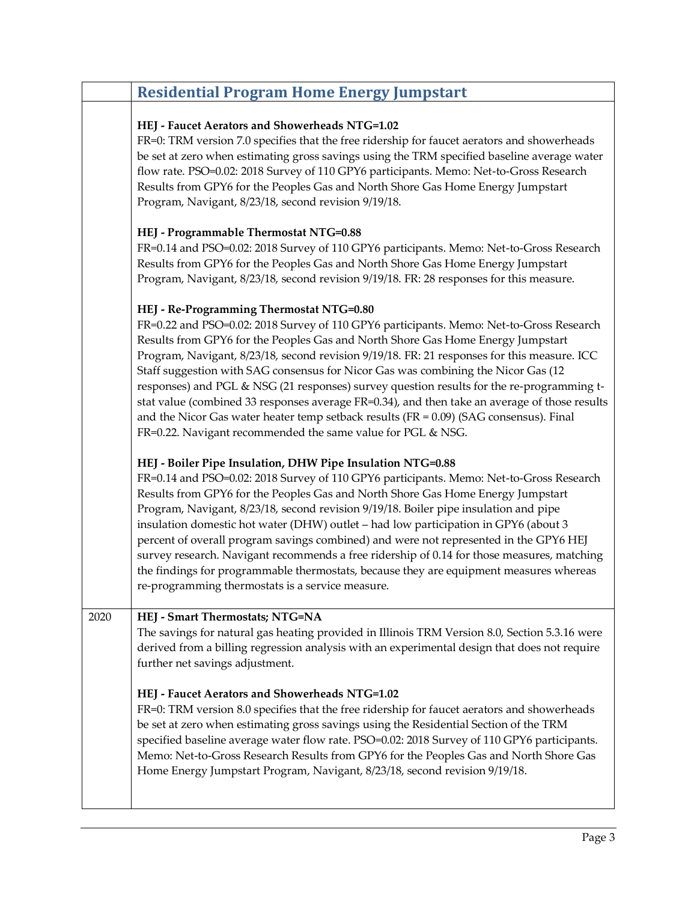|      | <b>Residential Program Home Energy Jumpstart</b>                                                                                                                                                                                                                                                                                                                                                                                                                                                                                                                                                                                                                                                                                                                      |
|------|-----------------------------------------------------------------------------------------------------------------------------------------------------------------------------------------------------------------------------------------------------------------------------------------------------------------------------------------------------------------------------------------------------------------------------------------------------------------------------------------------------------------------------------------------------------------------------------------------------------------------------------------------------------------------------------------------------------------------------------------------------------------------|
|      | HEJ - Faucet Aerators and Showerheads NTG=1.02<br>FR=0: TRM version 7.0 specifies that the free ridership for faucet aerators and showerheads<br>be set at zero when estimating gross savings using the TRM specified baseline average water<br>flow rate. PSO=0.02: 2018 Survey of 110 GPY6 participants. Memo: Net-to-Gross Research<br>Results from GPY6 for the Peoples Gas and North Shore Gas Home Energy Jumpstart<br>Program, Navigant, 8/23/18, second revision 9/19/18.                                                                                                                                                                                                                                                                                     |
|      | HEJ - Programmable Thermostat NTG=0.88<br>FR=0.14 and PSO=0.02: 2018 Survey of 110 GPY6 participants. Memo: Net-to-Gross Research<br>Results from GPY6 for the Peoples Gas and North Shore Gas Home Energy Jumpstart<br>Program, Navigant, 8/23/18, second revision 9/19/18. FR: 28 responses for this measure.                                                                                                                                                                                                                                                                                                                                                                                                                                                       |
|      | HEJ - Re-Programming Thermostat NTG=0.80<br>FR=0.22 and PSO=0.02: 2018 Survey of 110 GPY6 participants. Memo: Net-to-Gross Research<br>Results from GPY6 for the Peoples Gas and North Shore Gas Home Energy Jumpstart<br>Program, Navigant, 8/23/18, second revision 9/19/18. FR: 21 responses for this measure. ICC<br>Staff suggestion with SAG consensus for Nicor Gas was combining the Nicor Gas (12<br>responses) and PGL & NSG (21 responses) survey question results for the re-programming t-<br>stat value (combined 33 responses average FR=0.34), and then take an average of those results<br>and the Nicor Gas water heater temp setback results ( $FR = 0.09$ ) (SAG consensus). Final<br>FR=0.22. Navigant recommended the same value for PGL & NSG. |
|      | HEJ - Boiler Pipe Insulation, DHW Pipe Insulation NTG=0.88<br>FR=0.14 and PSO=0.02: 2018 Survey of 110 GPY6 participants. Memo: Net-to-Gross Research<br>Results from GPY6 for the Peoples Gas and North Shore Gas Home Energy Jumpstart<br>Program, Navigant, 8/23/18, second revision 9/19/18. Boiler pipe insulation and pipe<br>insulation domestic hot water (DHW) outlet - had low participation in GPY6 (about 3<br>percent of overall program savings combined) and were not represented in the GPY6 HEJ<br>survey research. Navigant recommends a free ridership of 0.14 for those measures, matching<br>the findings for programmable thermostats, because they are equipment measures whereas<br>re-programming thermostats is a service measure.          |
| 2020 | HEJ - Smart Thermostats; NTG=NA<br>The savings for natural gas heating provided in Illinois TRM Version 8.0, Section 5.3.16 were<br>derived from a billing regression analysis with an experimental design that does not require<br>further net savings adjustment.                                                                                                                                                                                                                                                                                                                                                                                                                                                                                                   |
|      | HEJ - Faucet Aerators and Showerheads NTG=1.02<br>FR=0: TRM version 8.0 specifies that the free ridership for faucet aerators and showerheads<br>be set at zero when estimating gross savings using the Residential Section of the TRM<br>specified baseline average water flow rate. PSO=0.02: 2018 Survey of 110 GPY6 participants.<br>Memo: Net-to-Gross Research Results from GPY6 for the Peoples Gas and North Shore Gas<br>Home Energy Jumpstart Program, Navigant, 8/23/18, second revision 9/19/18.                                                                                                                                                                                                                                                          |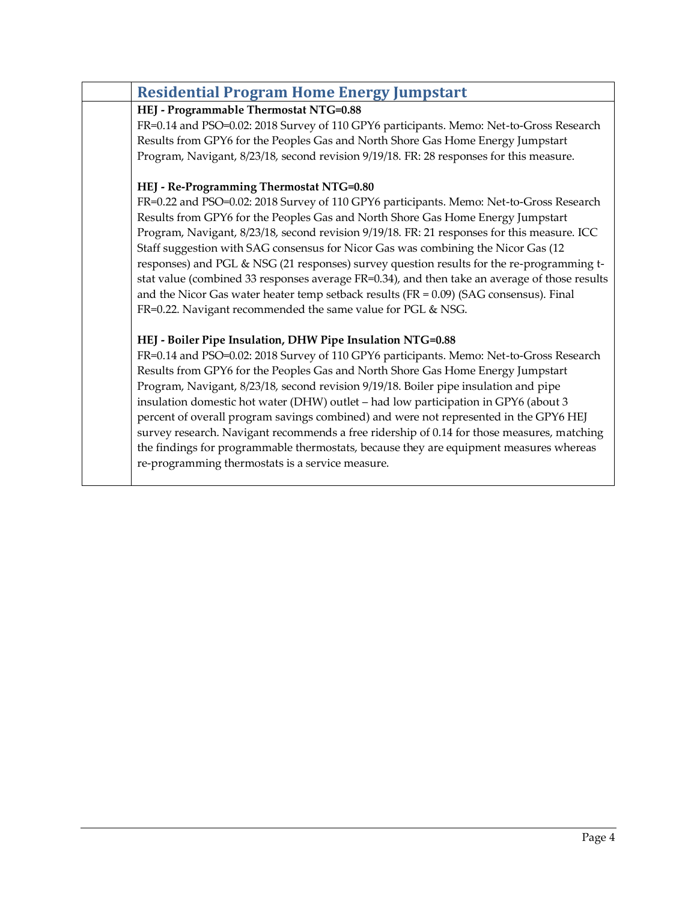| <b>Residential Program Home Energy Jumpstart</b>                                              |
|-----------------------------------------------------------------------------------------------|
| HEJ - Programmable Thermostat NTG=0.88                                                        |
| FR=0.14 and PSO=0.02: 2018 Survey of 110 GPY6 participants. Memo: Net-to-Gross Research       |
| Results from GPY6 for the Peoples Gas and North Shore Gas Home Energy Jumpstart               |
| Program, Navigant, 8/23/18, second revision 9/19/18. FR: 28 responses for this measure.       |
| HEJ - Re-Programming Thermostat NTG=0.80                                                      |
| FR=0.22 and PSO=0.02: 2018 Survey of 110 GPY6 participants. Memo: Net-to-Gross Research       |
| Results from GPY6 for the Peoples Gas and North Shore Gas Home Energy Jumpstart               |
| Program, Navigant, 8/23/18, second revision 9/19/18. FR: 21 responses for this measure. ICC   |
| Staff suggestion with SAG consensus for Nicor Gas was combining the Nicor Gas (12             |
| responses) and PGL & NSG (21 responses) survey question results for the re-programming t-     |
| stat value (combined 33 responses average FR=0.34), and then take an average of those results |
| and the Nicor Gas water heater temp setback results ( $FR = 0.09$ ) (SAG consensus). Final    |
| FR=0.22. Navigant recommended the same value for PGL & NSG.                                   |
| HEJ - Boiler Pipe Insulation, DHW Pipe Insulation NTG=0.88                                    |
| FR=0.14 and PSO=0.02: 2018 Survey of 110 GPY6 participants. Memo: Net-to-Gross Research       |
| Results from GPY6 for the Peoples Gas and North Shore Gas Home Energy Jumpstart               |
| Program, Navigant, 8/23/18, second revision 9/19/18. Boiler pipe insulation and pipe          |
| insulation domestic hot water (DHW) outlet - had low participation in GPY6 (about 3           |
| percent of overall program savings combined) and were not represented in the GPY6 HEJ         |
| survey research. Navigant recommends a free ridership of 0.14 for those measures, matching    |
| the findings for programmable thermostats, because they are equipment measures whereas        |
| re-programming thermostats is a service measure.                                              |
|                                                                                               |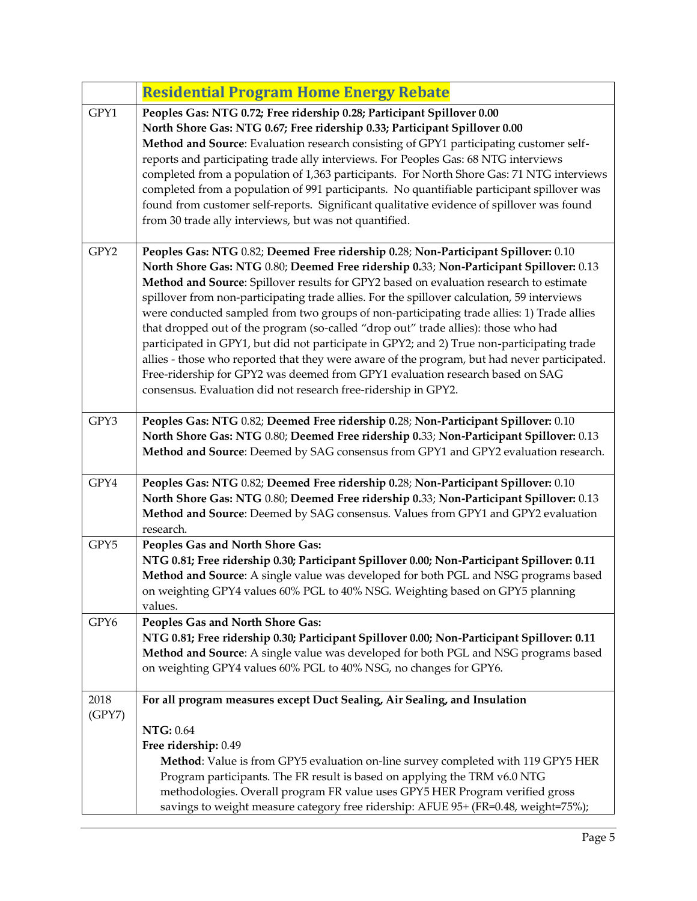<span id="page-4-0"></span>

|                | <b>Residential Program Home Energy Rebate</b>                                                                                                                                                                                                                                                                                                                                                                                                                                                                                                                                                                                                                                                                                                                                                                                                                                                             |
|----------------|-----------------------------------------------------------------------------------------------------------------------------------------------------------------------------------------------------------------------------------------------------------------------------------------------------------------------------------------------------------------------------------------------------------------------------------------------------------------------------------------------------------------------------------------------------------------------------------------------------------------------------------------------------------------------------------------------------------------------------------------------------------------------------------------------------------------------------------------------------------------------------------------------------------|
| GPY1           | Peoples Gas: NTG 0.72; Free ridership 0.28; Participant Spillover 0.00<br>North Shore Gas: NTG 0.67; Free ridership 0.33; Participant Spillover 0.00<br>Method and Source: Evaluation research consisting of GPY1 participating customer self-<br>reports and participating trade ally interviews. For Peoples Gas: 68 NTG interviews<br>completed from a population of 1,363 participants. For North Shore Gas: 71 NTG interviews<br>completed from a population of 991 participants. No quantifiable participant spillover was<br>found from customer self-reports. Significant qualitative evidence of spillover was found<br>from 30 trade ally interviews, but was not quantified.                                                                                                                                                                                                                   |
| GPY2           | Peoples Gas: NTG 0.82; Deemed Free ridership 0.28; Non-Participant Spillover: 0.10<br>North Shore Gas: NTG 0.80; Deemed Free ridership 0.33; Non-Participant Spillover: 0.13<br>Method and Source: Spillover results for GPY2 based on evaluation research to estimate<br>spillover from non-participating trade allies. For the spillover calculation, 59 interviews<br>were conducted sampled from two groups of non-participating trade allies: 1) Trade allies<br>that dropped out of the program (so-called "drop out" trade allies): those who had<br>participated in GPY1, but did not participate in GPY2; and 2) True non-participating trade<br>allies - those who reported that they were aware of the program, but had never participated.<br>Free-ridership for GPY2 was deemed from GPY1 evaluation research based on SAG<br>consensus. Evaluation did not research free-ridership in GPY2. |
| GPY3           | Peoples Gas: NTG 0.82; Deemed Free ridership 0.28; Non-Participant Spillover: 0.10<br>North Shore Gas: NTG 0.80; Deemed Free ridership 0.33; Non-Participant Spillover: 0.13<br>Method and Source: Deemed by SAG consensus from GPY1 and GPY2 evaluation research.                                                                                                                                                                                                                                                                                                                                                                                                                                                                                                                                                                                                                                        |
| GPY4           | Peoples Gas: NTG 0.82; Deemed Free ridership 0.28; Non-Participant Spillover: 0.10<br>North Shore Gas: NTG 0.80; Deemed Free ridership 0.33; Non-Participant Spillover: 0.13<br>Method and Source: Deemed by SAG consensus. Values from GPY1 and GPY2 evaluation<br>research.                                                                                                                                                                                                                                                                                                                                                                                                                                                                                                                                                                                                                             |
| GPY5           | Peoples Gas and North Shore Gas:<br>NTG 0.81; Free ridership 0.30; Participant Spillover 0.00; Non-Participant Spillover: 0.11<br>Method and Source: A single value was developed for both PGL and NSG programs based<br>on weighting GPY4 values 60% PGL to 40% NSG. Weighting based on GPY5 planning<br>values.                                                                                                                                                                                                                                                                                                                                                                                                                                                                                                                                                                                         |
| GPY6           | Peoples Gas and North Shore Gas:<br>NTG 0.81; Free ridership 0.30; Participant Spillover 0.00; Non-Participant Spillover: 0.11<br>Method and Source: A single value was developed for both PGL and NSG programs based<br>on weighting GPY4 values 60% PGL to 40% NSG, no changes for GPY6.                                                                                                                                                                                                                                                                                                                                                                                                                                                                                                                                                                                                                |
| 2018<br>(GPY7) | For all program measures except Duct Sealing, Air Sealing, and Insulation<br><b>NTG: 0.64</b>                                                                                                                                                                                                                                                                                                                                                                                                                                                                                                                                                                                                                                                                                                                                                                                                             |
|                | Free ridership: 0.49<br>Method: Value is from GPY5 evaluation on-line survey completed with 119 GPY5 HER<br>Program participants. The FR result is based on applying the TRM v6.0 NTG<br>methodologies. Overall program FR value uses GPY5 HER Program verified gross<br>savings to weight measure category free ridership: AFUE 95+ (FR=0.48, weight=75%);                                                                                                                                                                                                                                                                                                                                                                                                                                                                                                                                               |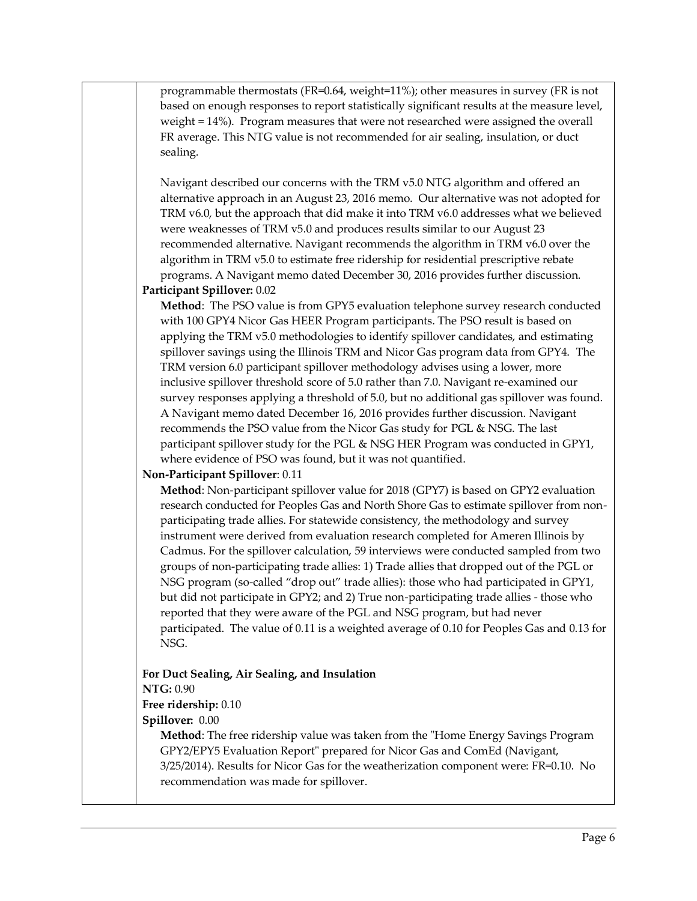programmable thermostats (FR=0.64, weight=11%); other measures in survey (FR is not based on enough responses to report statistically significant results at the measure level, weight = 14%). Program measures that were not researched were assigned the overall FR average. This NTG value is not recommended for air sealing, insulation, or duct sealing.

Navigant described our concerns with the TRM v5.0 NTG algorithm and offered an alternative approach in an August 23, 2016 memo. Our alternative was not adopted for TRM v6.0, but the approach that did make it into TRM v6.0 addresses what we believed were weaknesses of TRM v5.0 and produces results similar to our August 23 recommended alternative. Navigant recommends the algorithm in TRM v6.0 over the algorithm in TRM v5.0 to estimate free ridership for residential prescriptive rebate programs. A Navigant memo dated December 30, 2016 provides further discussion.

#### **Participant Spillover:** 0.02

**Method**: The PSO value is from GPY5 evaluation telephone survey research conducted with 100 GPY4 Nicor Gas HEER Program participants. The PSO result is based on applying the TRM v5.0 methodologies to identify spillover candidates, and estimating spillover savings using the Illinois TRM and Nicor Gas program data from GPY4. The TRM version 6.0 participant spillover methodology advises using a lower, more inclusive spillover threshold score of 5.0 rather than 7.0. Navigant re-examined our survey responses applying a threshold of 5.0, but no additional gas spillover was found. A Navigant memo dated December 16, 2016 provides further discussion. Navigant recommends the PSO value from the Nicor Gas study for PGL & NSG. The last participant spillover study for the PGL & NSG HER Program was conducted in GPY1, where evidence of PSO was found, but it was not quantified.

#### **Non-Participant Spillover**: 0.11

**Method**: Non-participant spillover value for 2018 (GPY7) is based on GPY2 evaluation research conducted for Peoples Gas and North Shore Gas to estimate spillover from nonparticipating trade allies. For statewide consistency, the methodology and survey instrument were derived from evaluation research completed for Ameren Illinois by Cadmus. For the spillover calculation, 59 interviews were conducted sampled from two groups of non-participating trade allies: 1) Trade allies that dropped out of the PGL or NSG program (so-called "drop out" trade allies): those who had participated in GPY1, but did not participate in GPY2; and 2) True non-participating trade allies - those who reported that they were aware of the PGL and NSG program, but had never participated. The value of 0.11 is a weighted average of 0.10 for Peoples Gas and 0.13 for NSG.

## **For Duct Sealing, Air Sealing, and Insulation**

#### **NTG:** 0.90

#### **Free ridership:** 0.10

#### **Spillover:** 0.00

**Method**: The free ridership value was taken from the "Home Energy Savings Program GPY2/EPY5 Evaluation Report" prepared for Nicor Gas and ComEd (Navigant, 3/25/2014). Results for Nicor Gas for the weatherization component were: FR=0.10. No recommendation was made for spillover.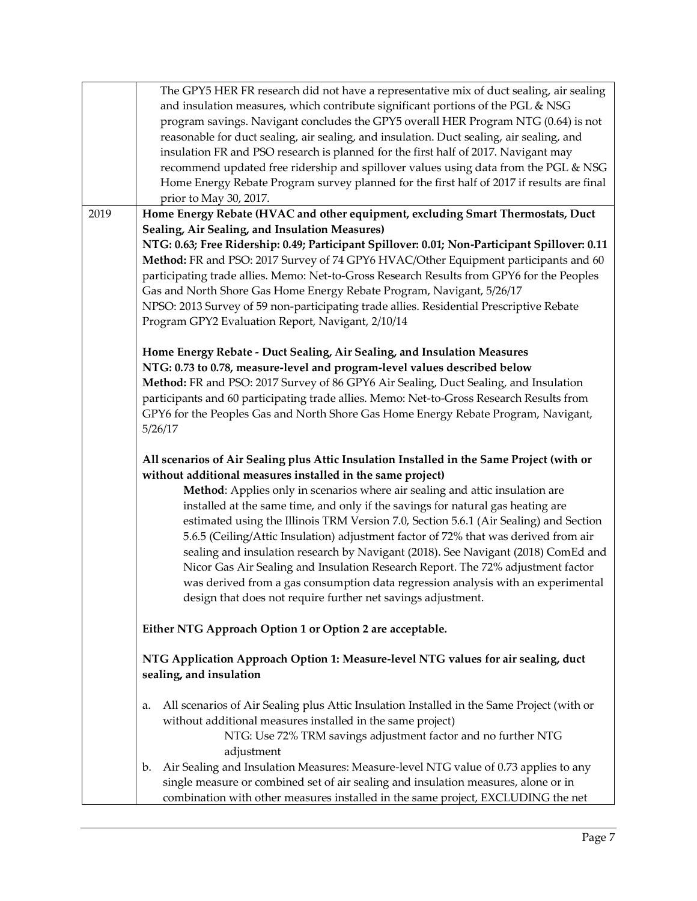|      | The GPY5 HER FR research did not have a representative mix of duct sealing, air sealing                                                                       |
|------|---------------------------------------------------------------------------------------------------------------------------------------------------------------|
|      | and insulation measures, which contribute significant portions of the PGL & NSG                                                                               |
|      | program savings. Navigant concludes the GPY5 overall HER Program NTG (0.64) is not                                                                            |
|      | reasonable for duct sealing, air sealing, and insulation. Duct sealing, air sealing, and                                                                      |
|      | insulation FR and PSO research is planned for the first half of 2017. Navigant may                                                                            |
|      | recommend updated free ridership and spillover values using data from the PGL & NSG                                                                           |
|      | Home Energy Rebate Program survey planned for the first half of 2017 if results are final                                                                     |
|      | prior to May 30, 2017.                                                                                                                                        |
| 2019 | Home Energy Rebate (HVAC and other equipment, excluding Smart Thermostats, Duct                                                                               |
|      | Sealing, Air Sealing, and Insulation Measures)                                                                                                                |
|      |                                                                                                                                                               |
|      | NTG: 0.63; Free Ridership: 0.49; Participant Spillover: 0.01; Non-Participant Spillover: 0.11                                                                 |
|      | Method: FR and PSO: 2017 Survey of 74 GPY6 HVAC/Other Equipment participants and 60                                                                           |
|      | participating trade allies. Memo: Net-to-Gross Research Results from GPY6 for the Peoples                                                                     |
|      | Gas and North Shore Gas Home Energy Rebate Program, Navigant, 5/26/17                                                                                         |
|      | NPSO: 2013 Survey of 59 non-participating trade allies. Residential Prescriptive Rebate                                                                       |
|      | Program GPY2 Evaluation Report, Navigant, 2/10/14                                                                                                             |
|      |                                                                                                                                                               |
|      | Home Energy Rebate - Duct Sealing, Air Sealing, and Insulation Measures                                                                                       |
|      | NTG: 0.73 to 0.78, measure-level and program-level values described below                                                                                     |
|      | Method: FR and PSO: 2017 Survey of 86 GPY6 Air Sealing, Duct Sealing, and Insulation                                                                          |
|      | participants and 60 participating trade allies. Memo: Net-to-Gross Research Results from                                                                      |
|      | GPY6 for the Peoples Gas and North Shore Gas Home Energy Rebate Program, Navigant,                                                                            |
|      | 5/26/17                                                                                                                                                       |
|      | All scenarios of Air Sealing plus Attic Insulation Installed in the Same Project (with or<br>without additional measures installed in the same project)       |
|      | Method: Applies only in scenarios where air sealing and attic insulation are                                                                                  |
|      | installed at the same time, and only if the savings for natural gas heating are                                                                               |
|      | estimated using the Illinois TRM Version 7.0, Section 5.6.1 (Air Sealing) and Section                                                                         |
|      | 5.6.5 (Ceiling/Attic Insulation) adjustment factor of 72% that was derived from air                                                                           |
|      | sealing and insulation research by Navigant (2018). See Navigant (2018) ComEd and                                                                             |
|      | Nicor Gas Air Sealing and Insulation Research Report. The 72% adjustment factor                                                                               |
|      | was derived from a gas consumption data regression analysis with an experimental                                                                              |
|      | design that does not require further net savings adjustment.                                                                                                  |
|      |                                                                                                                                                               |
|      | Either NTG Approach Option 1 or Option 2 are acceptable.                                                                                                      |
|      | NTG Application Approach Option 1: Measure-level NTG values for air sealing, duct<br>sealing, and insulation                                                  |
|      | All scenarios of Air Sealing plus Attic Insulation Installed in the Same Project (with or<br>a.<br>without additional measures installed in the same project) |
|      | NTG: Use 72% TRM savings adjustment factor and no further NTG                                                                                                 |
|      | adjustment                                                                                                                                                    |
|      | Air Sealing and Insulation Measures: Measure-level NTG value of 0.73 applies to any<br>b.                                                                     |
|      | single measure or combined set of air sealing and insulation measures, alone or in                                                                            |
|      | combination with other measures installed in the same project, EXCLUDING the net                                                                              |
|      |                                                                                                                                                               |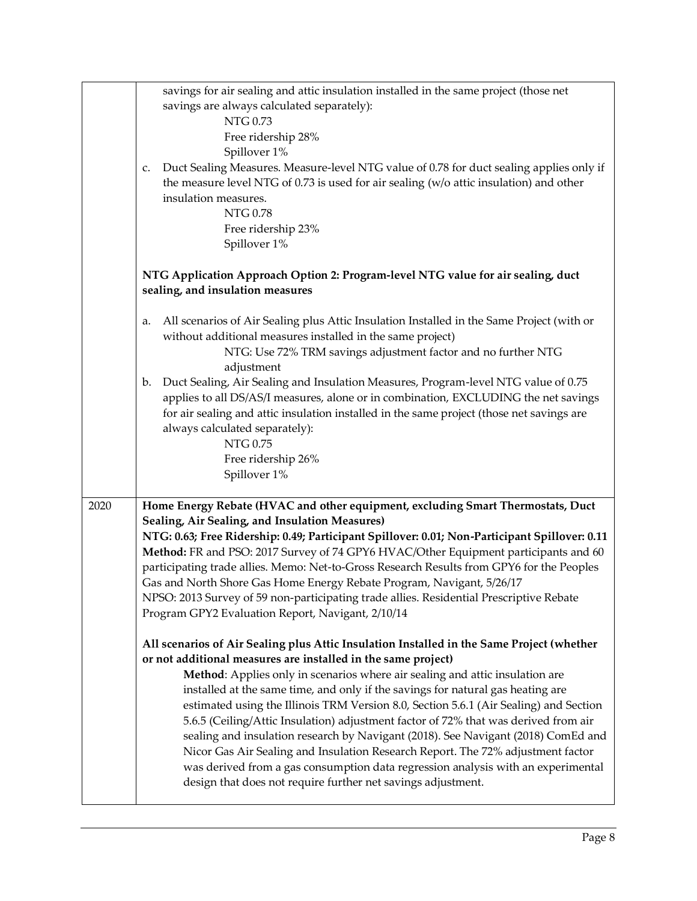|      | savings for air sealing and attic insulation installed in the same project (those net<br>savings are always calculated separately):<br>NTG 0.73<br>Free ridership 28%<br>Spillover 1%<br>Duct Sealing Measures. Measure-level NTG value of 0.78 for duct sealing applies only if<br>c.<br>the measure level NTG of 0.73 is used for air sealing (w/o attic insulation) and other<br>insulation measures.<br><b>NTG 0.78</b><br>Free ridership 23%                                                                                                                                                                                                                                                                                                                                                                                         |
|------|-------------------------------------------------------------------------------------------------------------------------------------------------------------------------------------------------------------------------------------------------------------------------------------------------------------------------------------------------------------------------------------------------------------------------------------------------------------------------------------------------------------------------------------------------------------------------------------------------------------------------------------------------------------------------------------------------------------------------------------------------------------------------------------------------------------------------------------------|
|      | Spillover 1%<br>NTG Application Approach Option 2: Program-level NTG value for air sealing, duct                                                                                                                                                                                                                                                                                                                                                                                                                                                                                                                                                                                                                                                                                                                                          |
|      | sealing, and insulation measures                                                                                                                                                                                                                                                                                                                                                                                                                                                                                                                                                                                                                                                                                                                                                                                                          |
|      | All scenarios of Air Sealing plus Attic Insulation Installed in the Same Project (with or<br>a.<br>without additional measures installed in the same project)<br>NTG: Use 72% TRM savings adjustment factor and no further NTG<br>adjustment                                                                                                                                                                                                                                                                                                                                                                                                                                                                                                                                                                                              |
|      | Duct Sealing, Air Sealing and Insulation Measures, Program-level NTG value of 0.75<br>$\mathbf{b}$ .<br>applies to all DS/AS/I measures, alone or in combination, EXCLUDING the net savings<br>for air sealing and attic insulation installed in the same project (those net savings are<br>always calculated separately):<br><b>NTG 0.75</b><br>Free ridership 26%                                                                                                                                                                                                                                                                                                                                                                                                                                                                       |
|      | Spillover 1%                                                                                                                                                                                                                                                                                                                                                                                                                                                                                                                                                                                                                                                                                                                                                                                                                              |
| 2020 | Home Energy Rebate (HVAC and other equipment, excluding Smart Thermostats, Duct<br>Sealing, Air Sealing, and Insulation Measures)<br>NTG: 0.63; Free Ridership: 0.49; Participant Spillover: 0.01; Non-Participant Spillover: 0.11<br>Method: FR and PSO: 2017 Survey of 74 GPY6 HVAC/Other Equipment participants and 60<br>participating trade allies. Memo: Net-to-Gross Research Results from GPY6 for the Peoples<br>Gas and North Shore Gas Home Energy Rebate Program, Navigant, 5/26/17<br>NPSO: 2013 Survey of 59 non-participating trade allies. Residential Prescriptive Rebate<br>Program GPY2 Evaluation Report, Navigant, 2/10/14                                                                                                                                                                                           |
|      | All scenarios of Air Sealing plus Attic Insulation Installed in the Same Project (whether<br>or not additional measures are installed in the same project)<br>Method: Applies only in scenarios where air sealing and attic insulation are<br>installed at the same time, and only if the savings for natural gas heating are<br>estimated using the Illinois TRM Version 8.0, Section 5.6.1 (Air Sealing) and Section<br>5.6.5 (Ceiling/Attic Insulation) adjustment factor of 72% that was derived from air<br>sealing and insulation research by Navigant (2018). See Navigant (2018) ComEd and<br>Nicor Gas Air Sealing and Insulation Research Report. The 72% adjustment factor<br>was derived from a gas consumption data regression analysis with an experimental<br>design that does not require further net savings adjustment. |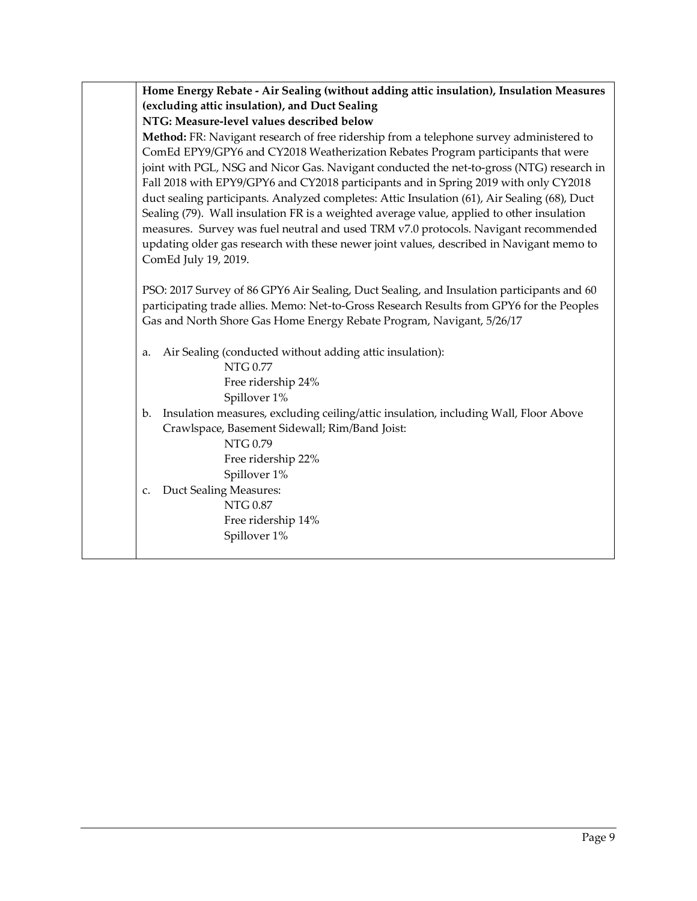|             | Home Energy Rebate - Air Sealing (without adding attic insulation), Insulation Measures                                                                                                                                                                                                                                                                                                                                                                                                                                                                                                                                                                                                                                                                                 |
|-------------|-------------------------------------------------------------------------------------------------------------------------------------------------------------------------------------------------------------------------------------------------------------------------------------------------------------------------------------------------------------------------------------------------------------------------------------------------------------------------------------------------------------------------------------------------------------------------------------------------------------------------------------------------------------------------------------------------------------------------------------------------------------------------|
|             | (excluding attic insulation), and Duct Sealing                                                                                                                                                                                                                                                                                                                                                                                                                                                                                                                                                                                                                                                                                                                          |
|             | NTG: Measure-level values described below                                                                                                                                                                                                                                                                                                                                                                                                                                                                                                                                                                                                                                                                                                                               |
|             | Method: FR: Navigant research of free ridership from a telephone survey administered to<br>ComEd EPY9/GPY6 and CY2018 Weatherization Rebates Program participants that were<br>joint with PGL, NSG and Nicor Gas. Navigant conducted the net-to-gross (NTG) research in<br>Fall 2018 with EPY9/GPY6 and CY2018 participants and in Spring 2019 with only CY2018<br>duct sealing participants. Analyzed completes: Attic Insulation (61), Air Sealing (68), Duct<br>Sealing (79). Wall insulation FR is a weighted average value, applied to other insulation<br>measures. Survey was fuel neutral and used TRM v7.0 protocols. Navigant recommended<br>updating older gas research with these newer joint values, described in Navigant memo to<br>ComEd July 19, 2019. |
|             | PSO: 2017 Survey of 86 GPY6 Air Sealing, Duct Sealing, and Insulation participants and 60                                                                                                                                                                                                                                                                                                                                                                                                                                                                                                                                                                                                                                                                               |
|             | participating trade allies. Memo: Net-to-Gross Research Results from GPY6 for the Peoples<br>Gas and North Shore Gas Home Energy Rebate Program, Navigant, 5/26/17                                                                                                                                                                                                                                                                                                                                                                                                                                                                                                                                                                                                      |
| a.          | Air Sealing (conducted without adding attic insulation):                                                                                                                                                                                                                                                                                                                                                                                                                                                                                                                                                                                                                                                                                                                |
|             | <b>NTG 0.77</b>                                                                                                                                                                                                                                                                                                                                                                                                                                                                                                                                                                                                                                                                                                                                                         |
|             | Free ridership 24%                                                                                                                                                                                                                                                                                                                                                                                                                                                                                                                                                                                                                                                                                                                                                      |
| b.          | Spillover 1%<br>Insulation measures, excluding ceiling/attic insulation, including Wall, Floor Above<br>Crawlspace, Basement Sidewall; Rim/Band Joist:                                                                                                                                                                                                                                                                                                                                                                                                                                                                                                                                                                                                                  |
|             | <b>NTG 0.79</b>                                                                                                                                                                                                                                                                                                                                                                                                                                                                                                                                                                                                                                                                                                                                                         |
|             | Free ridership 22%                                                                                                                                                                                                                                                                                                                                                                                                                                                                                                                                                                                                                                                                                                                                                      |
| $C_{\star}$ | Spillover 1%                                                                                                                                                                                                                                                                                                                                                                                                                                                                                                                                                                                                                                                                                                                                                            |
|             | Duct Sealing Measures:<br><b>NTG 0.87</b>                                                                                                                                                                                                                                                                                                                                                                                                                                                                                                                                                                                                                                                                                                                               |
|             | Free ridership 14%                                                                                                                                                                                                                                                                                                                                                                                                                                                                                                                                                                                                                                                                                                                                                      |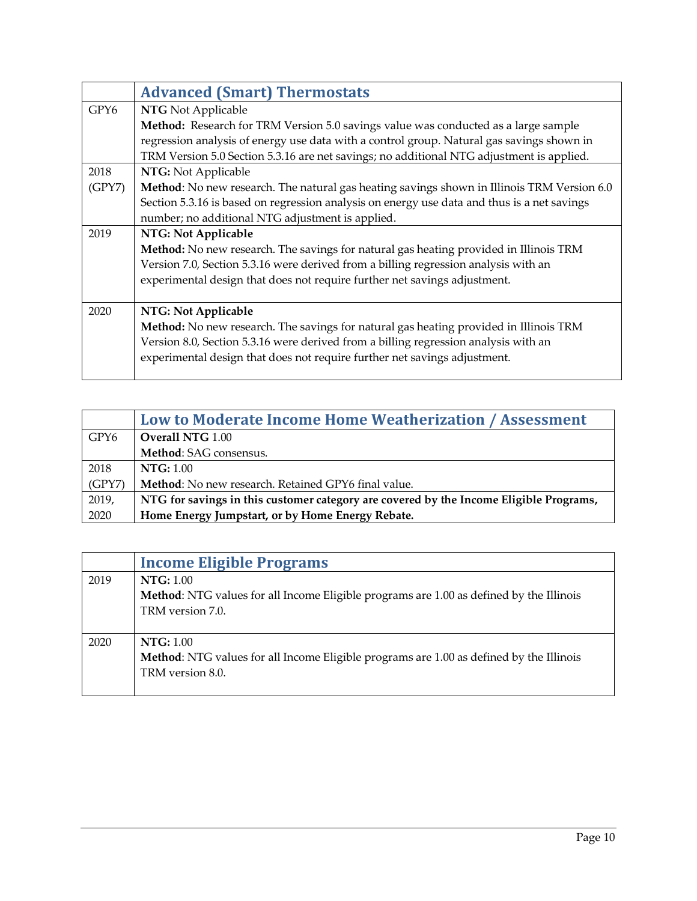<span id="page-9-0"></span>

|        | <b>Advanced (Smart) Thermostats</b>                                                         |
|--------|---------------------------------------------------------------------------------------------|
| GPY6   | <b>NTG</b> Not Applicable                                                                   |
|        | Method: Research for TRM Version 5.0 savings value was conducted as a large sample          |
|        | regression analysis of energy use data with a control group. Natural gas savings shown in   |
|        | TRM Version 5.0 Section 5.3.16 are net savings; no additional NTG adjustment is applied.    |
| 2018   | NTG: Not Applicable                                                                         |
| (GPY7) | Method: No new research. The natural gas heating savings shown in Illinois TRM Version 6.0  |
|        | Section 5.3.16 is based on regression analysis on energy use data and thus is a net savings |
|        | number; no additional NTG adjustment is applied.                                            |
| 2019   | NTG: Not Applicable                                                                         |
|        | Method: No new research. The savings for natural gas heating provided in Illinois TRM       |
|        | Version 7.0, Section 5.3.16 were derived from a billing regression analysis with an         |
|        | experimental design that does not require further net savings adjustment.                   |
|        |                                                                                             |
| 2020   | NTG: Not Applicable                                                                         |
|        | Method: No new research. The savings for natural gas heating provided in Illinois TRM       |
|        | Version 8.0, Section 5.3.16 were derived from a billing regression analysis with an         |
|        | experimental design that does not require further net savings adjustment.                   |
|        |                                                                                             |

<span id="page-9-1"></span>

|        | Low to Moderate Income Home Weatherization / Assessment                                |
|--------|----------------------------------------------------------------------------------------|
| GPY6   | <b>Overall NTG 1.00</b>                                                                |
|        | Method: SAG consensus.                                                                 |
| 2018   | NTG: 1.00                                                                              |
| (GPY7) | <b>Method:</b> No new research. Retained GPY6 final value.                             |
| 2019,  | NTG for savings in this customer category are covered by the Income Eligible Programs, |
| 2020   | Home Energy Jumpstart, or by Home Energy Rebate.                                       |

<span id="page-9-2"></span>

|      | <b>Income Eligible Programs</b>                                                         |
|------|-----------------------------------------------------------------------------------------|
| 2019 | <b>NTG:</b> 1.00                                                                        |
|      | Method: NTG values for all Income Eligible programs are 1.00 as defined by the Illinois |
|      | TRM version 7.0.                                                                        |
|      |                                                                                         |
| 2020 | <b>NTG:</b> 1.00                                                                        |
|      | Method: NTG values for all Income Eligible programs are 1.00 as defined by the Illinois |
|      | TRM version 8.0.                                                                        |
|      |                                                                                         |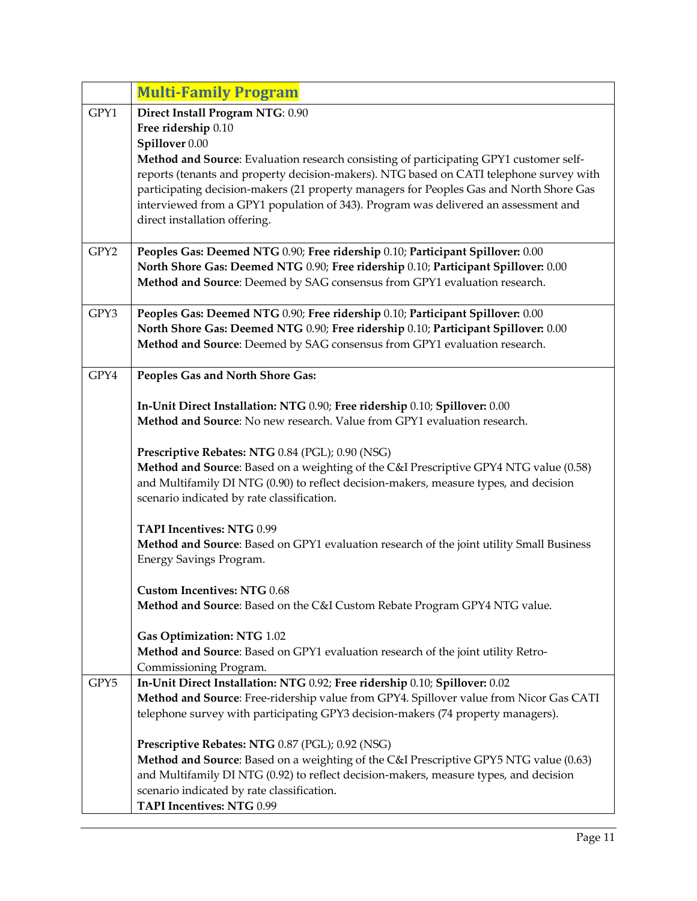<span id="page-10-0"></span>

|      | <b>Multi-Family Program</b>                                                                                                                                                    |
|------|--------------------------------------------------------------------------------------------------------------------------------------------------------------------------------|
| GPY1 | Direct Install Program NTG: 0.90                                                                                                                                               |
|      | Free ridership 0.10                                                                                                                                                            |
|      | Spillover 0.00                                                                                                                                                                 |
|      | Method and Source: Evaluation research consisting of participating GPY1 customer self-                                                                                         |
|      | reports (tenants and property decision-makers). NTG based on CATI telephone survey with                                                                                        |
|      | participating decision-makers (21 property managers for Peoples Gas and North Shore Gas<br>interviewed from a GPY1 population of 343). Program was delivered an assessment and |
|      | direct installation offering.                                                                                                                                                  |
|      |                                                                                                                                                                                |
| GPY2 | Peoples Gas: Deemed NTG 0.90; Free ridership 0.10; Participant Spillover: 0.00                                                                                                 |
|      | North Shore Gas: Deemed NTG 0.90; Free ridership 0.10; Participant Spillover: 0.00                                                                                             |
|      | Method and Source: Deemed by SAG consensus from GPY1 evaluation research.                                                                                                      |
|      |                                                                                                                                                                                |
| GPY3 | Peoples Gas: Deemed NTG 0.90; Free ridership 0.10; Participant Spillover: 0.00                                                                                                 |
|      | North Shore Gas: Deemed NTG 0.90; Free ridership 0.10; Participant Spillover: 0.00<br>Method and Source: Deemed by SAG consensus from GPY1 evaluation research.                |
|      |                                                                                                                                                                                |
| GPY4 | Peoples Gas and North Shore Gas:                                                                                                                                               |
|      |                                                                                                                                                                                |
|      | In-Unit Direct Installation: NTG 0.90; Free ridership 0.10; Spillover: 0.00                                                                                                    |
|      | Method and Source: No new research. Value from GPY1 evaluation research.                                                                                                       |
|      | Prescriptive Rebates: NTG 0.84 (PGL); 0.90 (NSG)                                                                                                                               |
|      | Method and Source: Based on a weighting of the C&I Prescriptive GPY4 NTG value (0.58)                                                                                          |
|      | and Multifamily DI NTG (0.90) to reflect decision-makers, measure types, and decision                                                                                          |
|      | scenario indicated by rate classification.                                                                                                                                     |
|      | <b>TAPI Incentives: NTG 0.99</b>                                                                                                                                               |
|      | Method and Source: Based on GPY1 evaluation research of the joint utility Small Business                                                                                       |
|      | Energy Savings Program.                                                                                                                                                        |
|      |                                                                                                                                                                                |
|      | <b>Custom Incentives: NTG 0.68</b>                                                                                                                                             |
|      | Method and Source: Based on the C&I Custom Rebate Program GPY4 NTG value.                                                                                                      |
|      | Gas Optimization: NTG 1.02                                                                                                                                                     |
|      | Method and Source: Based on GPY1 evaluation research of the joint utility Retro-                                                                                               |
|      | Commissioning Program.                                                                                                                                                         |
| GPY5 | In-Unit Direct Installation: NTG 0.92; Free ridership 0.10; Spillover: 0.02                                                                                                    |
|      | Method and Source: Free-ridership value from GPY4. Spillover value from Nicor Gas CATI                                                                                         |
|      | telephone survey with participating GPY3 decision-makers (74 property managers).                                                                                               |
|      | Prescriptive Rebates: NTG 0.87 (PGL); 0.92 (NSG)                                                                                                                               |
|      | Method and Source: Based on a weighting of the C&I Prescriptive GPY5 NTG value (0.63)                                                                                          |
|      | and Multifamily DI NTG (0.92) to reflect decision-makers, measure types, and decision                                                                                          |
|      | scenario indicated by rate classification.                                                                                                                                     |
|      | TAPI Incentives: NTG 0.99                                                                                                                                                      |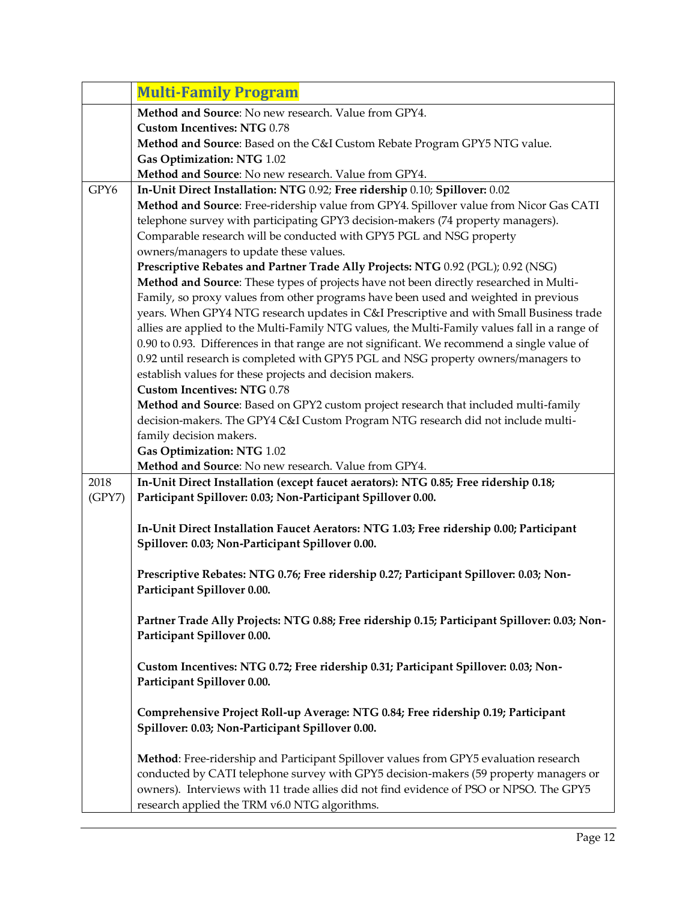|        | <b>Multi-Family Program</b>                                                                                                                 |
|--------|---------------------------------------------------------------------------------------------------------------------------------------------|
|        | Method and Source: No new research. Value from GPY4.                                                                                        |
|        | <b>Custom Incentives: NTG 0.78</b>                                                                                                          |
|        | Method and Source: Based on the C&I Custom Rebate Program GPY5 NTG value.                                                                   |
|        | Gas Optimization: NTG 1.02                                                                                                                  |
|        | Method and Source: No new research. Value from GPY4.                                                                                        |
| GPY6   | In-Unit Direct Installation: NTG 0.92; Free ridership 0.10; Spillover: 0.02                                                                 |
|        | Method and Source: Free-ridership value from GPY4. Spillover value from Nicor Gas CATI                                                      |
|        | telephone survey with participating GPY3 decision-makers (74 property managers).                                                            |
|        | Comparable research will be conducted with GPY5 PGL and NSG property                                                                        |
|        | owners/managers to update these values.                                                                                                     |
|        | Prescriptive Rebates and Partner Trade Ally Projects: NTG 0.92 (PGL); 0.92 (NSG)                                                            |
|        | Method and Source: These types of projects have not been directly researched in Multi-                                                      |
|        | Family, so proxy values from other programs have been used and weighted in previous                                                         |
|        | years. When GPY4 NTG research updates in C&I Prescriptive and with Small Business trade                                                     |
|        | allies are applied to the Multi-Family NTG values, the Multi-Family values fall in a range of                                               |
|        | 0.90 to 0.93. Differences in that range are not significant. We recommend a single value of                                                 |
|        | 0.92 until research is completed with GPY5 PGL and NSG property owners/managers to                                                          |
|        | establish values for these projects and decision makers.                                                                                    |
|        | <b>Custom Incentives: NTG 0.78</b>                                                                                                          |
|        | Method and Source: Based on GPY2 custom project research that included multi-family                                                         |
|        | decision-makers. The GPY4 C&I Custom Program NTG research did not include multi-                                                            |
|        | family decision makers.                                                                                                                     |
|        | Gas Optimization: NTG 1.02                                                                                                                  |
|        | Method and Source: No new research. Value from GPY4.                                                                                        |
| 2018   | In-Unit Direct Installation (except faucet aerators): NTG 0.85; Free ridership 0.18;                                                        |
| (GPY7) | Participant Spillover: 0.03; Non-Participant Spillover 0.00.                                                                                |
|        |                                                                                                                                             |
|        | In-Unit Direct Installation Faucet Aerators: NTG 1.03; Free ridership 0.00; Participant<br>Spillover: 0.03; Non-Participant Spillover 0.00. |
|        |                                                                                                                                             |
|        | Prescriptive Rebates: NTG 0.76; Free ridership 0.27; Participant Spillover: 0.03; Non-                                                      |
|        | Participant Spillover 0.00.                                                                                                                 |
|        |                                                                                                                                             |
|        | Partner Trade Ally Projects: NTG 0.88; Free ridership 0.15; Participant Spillover: 0.03; Non-                                               |
|        | Participant Spillover 0.00.                                                                                                                 |
|        |                                                                                                                                             |
|        | Custom Incentives: NTG 0.72; Free ridership 0.31; Participant Spillover: 0.03; Non-                                                         |
|        | Participant Spillover 0.00.                                                                                                                 |
|        |                                                                                                                                             |
|        | Comprehensive Project Roll-up Average: NTG 0.84; Free ridership 0.19; Participant                                                           |
|        | Spillover: 0.03; Non-Participant Spillover 0.00.                                                                                            |
|        |                                                                                                                                             |
|        | Method: Free-ridership and Participant Spillover values from GPY5 evaluation research                                                       |
|        | conducted by CATI telephone survey with GPY5 decision-makers (59 property managers or                                                       |
|        | owners). Interviews with 11 trade allies did not find evidence of PSO or NPSO. The GPY5                                                     |
|        | research applied the TRM v6.0 NTG algorithms.                                                                                               |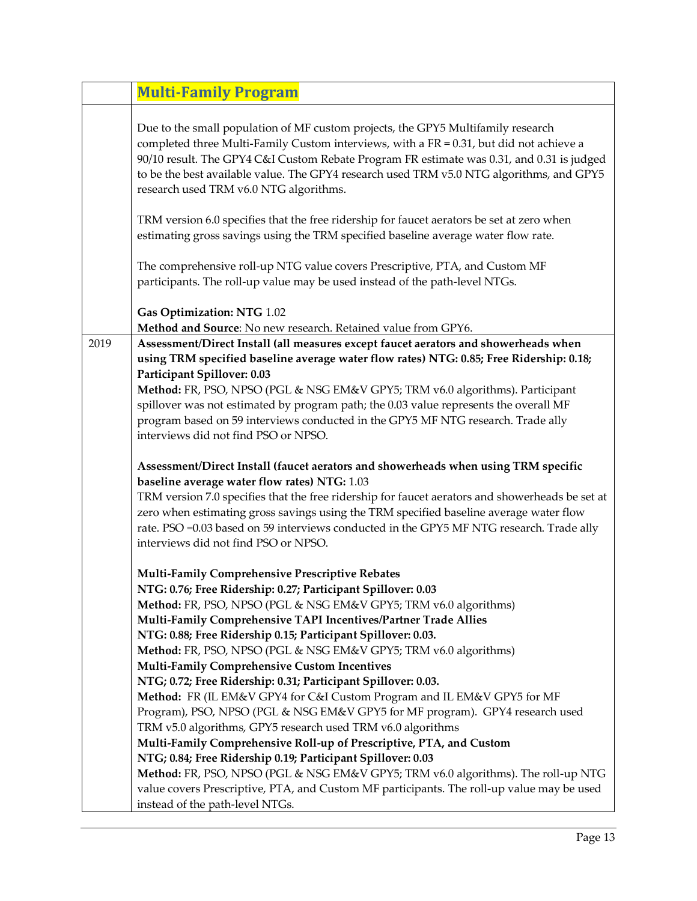|      | <b>Multi-Family Program</b>                                                                                                                                                                                                                                                                                                                                                                                                                                                                                                                                                                                                                                                                                                                                                                                                                                                                                                                                                                                                                                                                      |
|------|--------------------------------------------------------------------------------------------------------------------------------------------------------------------------------------------------------------------------------------------------------------------------------------------------------------------------------------------------------------------------------------------------------------------------------------------------------------------------------------------------------------------------------------------------------------------------------------------------------------------------------------------------------------------------------------------------------------------------------------------------------------------------------------------------------------------------------------------------------------------------------------------------------------------------------------------------------------------------------------------------------------------------------------------------------------------------------------------------|
|      | Due to the small population of MF custom projects, the GPY5 Multifamily research<br>completed three Multi-Family Custom interviews, with a FR = $0.31$ , but did not achieve a<br>90/10 result. The GPY4 C&I Custom Rebate Program FR estimate was 0.31, and 0.31 is judged<br>to be the best available value. The GPY4 research used TRM v5.0 NTG algorithms, and GPY5<br>research used TRM v6.0 NTG algorithms.                                                                                                                                                                                                                                                                                                                                                                                                                                                                                                                                                                                                                                                                                |
|      | TRM version 6.0 specifies that the free ridership for faucet aerators be set at zero when<br>estimating gross savings using the TRM specified baseline average water flow rate.                                                                                                                                                                                                                                                                                                                                                                                                                                                                                                                                                                                                                                                                                                                                                                                                                                                                                                                  |
|      | The comprehensive roll-up NTG value covers Prescriptive, PTA, and Custom MF<br>participants. The roll-up value may be used instead of the path-level NTGs.                                                                                                                                                                                                                                                                                                                                                                                                                                                                                                                                                                                                                                                                                                                                                                                                                                                                                                                                       |
|      | Gas Optimization: NTG 1.02<br>Method and Source: No new research. Retained value from GPY6.                                                                                                                                                                                                                                                                                                                                                                                                                                                                                                                                                                                                                                                                                                                                                                                                                                                                                                                                                                                                      |
| 2019 | Assessment/Direct Install (all measures except faucet aerators and showerheads when<br>using TRM specified baseline average water flow rates) NTG: 0.85; Free Ridership: 0.18;<br>Participant Spillover: 0.03<br>Method: FR, PSO, NPSO (PGL & NSG EM&V GPY5; TRM v6.0 algorithms). Participant<br>spillover was not estimated by program path; the 0.03 value represents the overall MF<br>program based on 59 interviews conducted in the GPY5 MF NTG research. Trade ally<br>interviews did not find PSO or NPSO.<br>Assessment/Direct Install (faucet aerators and showerheads when using TRM specific<br>baseline average water flow rates) NTG: 1.03<br>TRM version 7.0 specifies that the free ridership for faucet aerators and showerheads be set at                                                                                                                                                                                                                                                                                                                                     |
|      | zero when estimating gross savings using the TRM specified baseline average water flow<br>rate. PSO =0.03 based on 59 interviews conducted in the GPY5 MF NTG research. Trade ally<br>interviews did not find PSO or NPSO.                                                                                                                                                                                                                                                                                                                                                                                                                                                                                                                                                                                                                                                                                                                                                                                                                                                                       |
|      | Multi-Family Comprehensive Prescriptive Rebates<br>NTG: 0.76; Free Ridership: 0.27; Participant Spillover: 0.03<br>Method: FR, PSO, NPSO (PGL & NSG EM&V GPY5; TRM v6.0 algorithms)<br>Multi-Family Comprehensive TAPI Incentives/Partner Trade Allies<br>NTG: 0.88; Free Ridership 0.15; Participant Spillover: 0.03.<br>Method: FR, PSO, NPSO (PGL & NSG EM&V GPY5; TRM v6.0 algorithms)<br>Multi-Family Comprehensive Custom Incentives<br>NTG; 0.72; Free Ridership: 0.31; Participant Spillover: 0.03.<br>Method: FR (IL EM&V GPY4 for C&I Custom Program and IL EM&V GPY5 for MF<br>Program), PSO, NPSO (PGL & NSG EM&V GPY5 for MF program). GPY4 research used<br>TRM v5.0 algorithms, GPY5 research used TRM v6.0 algorithms<br>Multi-Family Comprehensive Roll-up of Prescriptive, PTA, and Custom<br>NTG; 0.84; Free Ridership 0.19; Participant Spillover: 0.03<br>Method: FR, PSO, NPSO (PGL & NSG EM&V GPY5; TRM v6.0 algorithms). The roll-up NTG<br>value covers Prescriptive, PTA, and Custom MF participants. The roll-up value may be used<br>instead of the path-level NTGs. |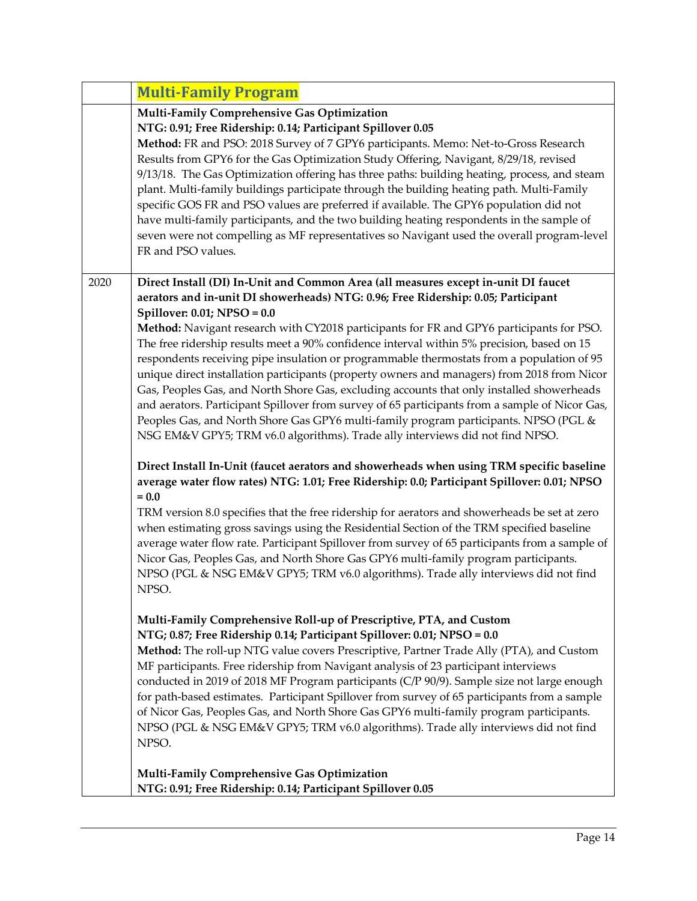|      | <b>Multi-Family Program</b>                                                                                                                                                                                                                                                                                                                                                                                                                                                                                                                                                                                                                                                                                                                                                                                                                                                                                                                                               |
|------|---------------------------------------------------------------------------------------------------------------------------------------------------------------------------------------------------------------------------------------------------------------------------------------------------------------------------------------------------------------------------------------------------------------------------------------------------------------------------------------------------------------------------------------------------------------------------------------------------------------------------------------------------------------------------------------------------------------------------------------------------------------------------------------------------------------------------------------------------------------------------------------------------------------------------------------------------------------------------|
|      | Multi-Family Comprehensive Gas Optimization<br>NTG: 0.91; Free Ridership: 0.14; Participant Spillover 0.05<br>Method: FR and PSO: 2018 Survey of 7 GPY6 participants. Memo: Net-to-Gross Research<br>Results from GPY6 for the Gas Optimization Study Offering, Navigant, 8/29/18, revised<br>9/13/18. The Gas Optimization offering has three paths: building heating, process, and steam<br>plant. Multi-family buildings participate through the building heating path. Multi-Family<br>specific GOS FR and PSO values are preferred if available. The GPY6 population did not<br>have multi-family participants, and the two building heating respondents in the sample of<br>seven were not compelling as MF representatives so Navigant used the overall program-level<br>FR and PSO values.                                                                                                                                                                        |
| 2020 | Direct Install (DI) In-Unit and Common Area (all measures except in-unit DI faucet<br>aerators and in-unit DI showerheads) NTG: 0.96; Free Ridership: 0.05; Participant<br>Spillover: $0.01$ ; NPSO = $0.0$<br>Method: Navigant research with CY2018 participants for FR and GPY6 participants for PSO.<br>The free ridership results meet a 90% confidence interval within 5% precision, based on 15<br>respondents receiving pipe insulation or programmable thermostats from a population of 95<br>unique direct installation participants (property owners and managers) from 2018 from Nicor<br>Gas, Peoples Gas, and North Shore Gas, excluding accounts that only installed showerheads<br>and aerators. Participant Spillover from survey of 65 participants from a sample of Nicor Gas,<br>Peoples Gas, and North Shore Gas GPY6 multi-family program participants. NPSO (PGL &<br>NSG EM&V GPY5; TRM v6.0 algorithms). Trade ally interviews did not find NPSO. |
|      | Direct Install In-Unit (faucet aerators and showerheads when using TRM specific baseline<br>average water flow rates) NTG: 1.01; Free Ridership: 0.0; Participant Spillover: 0.01; NPSO<br>$= 0.0$<br>TRM version 8.0 specifies that the free ridership for aerators and showerheads be set at zero<br>when estimating gross savings using the Residential Section of the TRM specified baseline<br>average water flow rate. Participant Spillover from survey of 65 participants from a sample of<br>Nicor Gas, Peoples Gas, and North Shore Gas GPY6 multi-family program participants.<br>NPSO (PGL & NSG EM&V GPY5; TRM v6.0 algorithms). Trade ally interviews did not find<br>NPSO.                                                                                                                                                                                                                                                                                 |
|      | Multi-Family Comprehensive Roll-up of Prescriptive, PTA, and Custom<br>NTG; 0.87; Free Ridership 0.14; Participant Spillover: 0.01; NPSO = 0.0<br>Method: The roll-up NTG value covers Prescriptive, Partner Trade Ally (PTA), and Custom<br>MF participants. Free ridership from Navigant analysis of 23 participant interviews<br>conducted in 2019 of 2018 MF Program participants (C/P 90/9). Sample size not large enough<br>for path-based estimates. Participant Spillover from survey of 65 participants from a sample<br>of Nicor Gas, Peoples Gas, and North Shore Gas GPY6 multi-family program participants.<br>NPSO (PGL & NSG EM&V GPY5; TRM v6.0 algorithms). Trade ally interviews did not find<br>NPSO.                                                                                                                                                                                                                                                  |
|      | Multi-Family Comprehensive Gas Optimization<br>NTG: 0.91; Free Ridership: 0.14; Participant Spillover 0.05                                                                                                                                                                                                                                                                                                                                                                                                                                                                                                                                                                                                                                                                                                                                                                                                                                                                |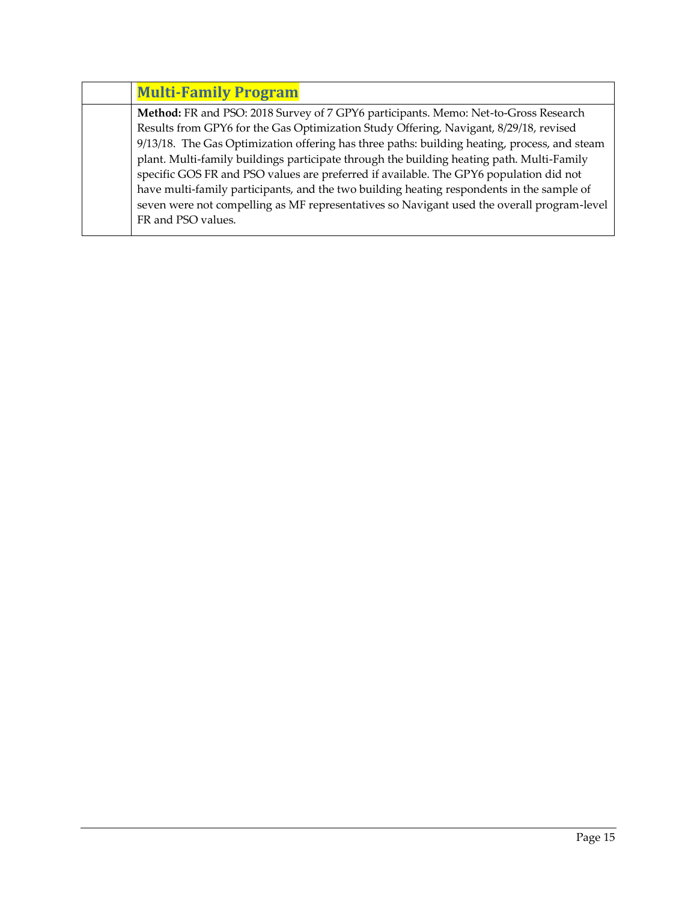| <b>Multi-Family Program</b>                                                                  |
|----------------------------------------------------------------------------------------------|
| Method: FR and PSO: 2018 Survey of 7 GPY6 participants. Memo: Net-to-Gross Research          |
| Results from GPY6 for the Gas Optimization Study Offering, Navigant, 8/29/18, revised        |
| 9/13/18. The Gas Optimization offering has three paths: building heating, process, and steam |
| plant. Multi-family buildings participate through the building heating path. Multi-Family    |
| specific GOS FR and PSO values are preferred if available. The GPY6 population did not       |
| have multi-family participants, and the two building heating respondents in the sample of    |
| seven were not compelling as MF representatives so Navigant used the overall program-level   |
| FR and PSO values.                                                                           |
|                                                                                              |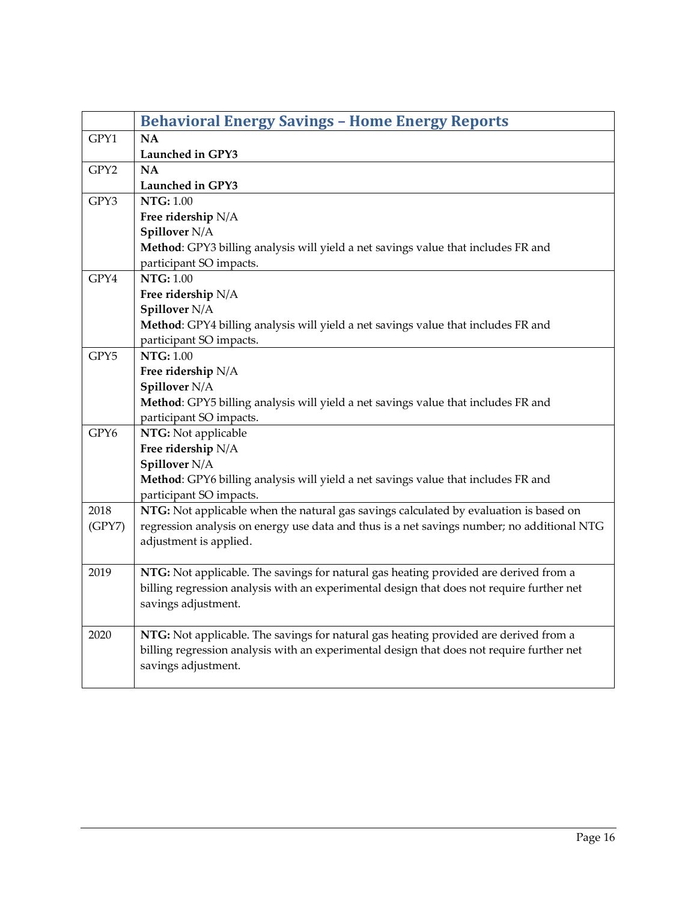<span id="page-15-0"></span>

|        | <b>Behavioral Energy Savings - Home Energy Reports</b>                                     |
|--------|--------------------------------------------------------------------------------------------|
| GPY1   | <b>NA</b>                                                                                  |
|        | Launched in GPY3                                                                           |
| GPY2   | <b>NA</b>                                                                                  |
|        | Launched in GPY3                                                                           |
| GPY3   | <b>NTG: 1.00</b>                                                                           |
|        | Free ridership N/A                                                                         |
|        | Spillover N/A                                                                              |
|        | Method: GPY3 billing analysis will yield a net savings value that includes FR and          |
|        | participant SO impacts.                                                                    |
| GPY4   | <b>NTG: 1.00</b>                                                                           |
|        | Free ridership N/A                                                                         |
|        | Spillover N/A                                                                              |
|        | Method: GPY4 billing analysis will yield a net savings value that includes FR and          |
|        | participant SO impacts.                                                                    |
| GPY5   | <b>NTG: 1.00</b>                                                                           |
|        | Free ridership N/A                                                                         |
|        | Spillover N/A                                                                              |
|        | Method: GPY5 billing analysis will yield a net savings value that includes FR and          |
|        | participant SO impacts.                                                                    |
| GPY6   | NTG: Not applicable                                                                        |
|        | Free ridership N/A                                                                         |
|        | Spillover N/A                                                                              |
|        | Method: GPY6 billing analysis will yield a net savings value that includes FR and          |
|        | participant SO impacts.                                                                    |
| 2018   | NTG: Not applicable when the natural gas savings calculated by evaluation is based on      |
| (GPY7) | regression analysis on energy use data and thus is a net savings number; no additional NTG |
|        | adjustment is applied.                                                                     |
|        |                                                                                            |
| 2019   | NTG: Not applicable. The savings for natural gas heating provided are derived from a       |
|        | billing regression analysis with an experimental design that does not require further net  |
|        | savings adjustment.                                                                        |
|        |                                                                                            |
| 2020   | NTG: Not applicable. The savings for natural gas heating provided are derived from a       |
|        | billing regression analysis with an experimental design that does not require further net  |
|        | savings adjustment.                                                                        |
|        |                                                                                            |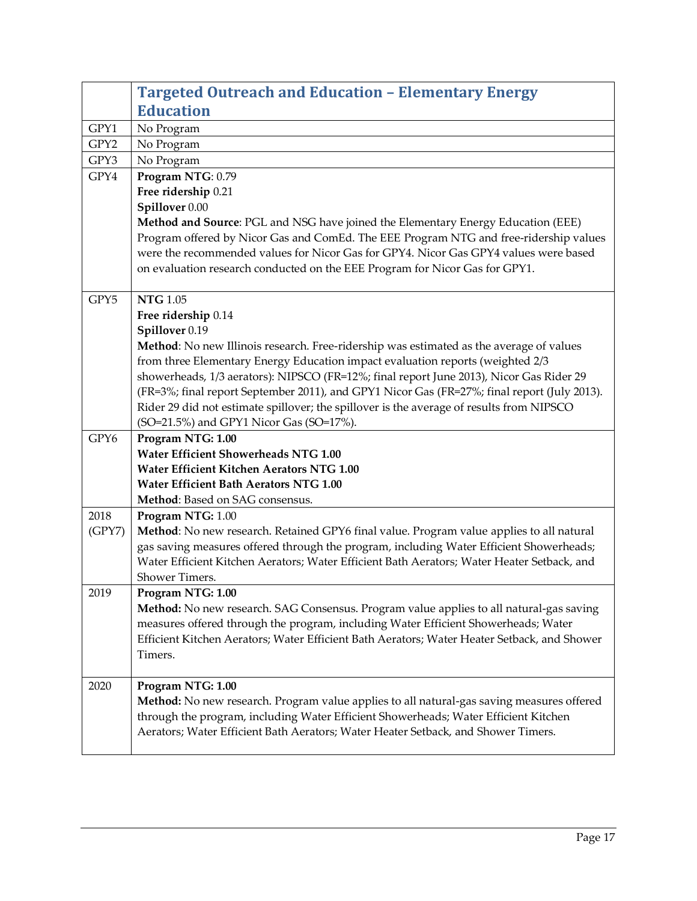<span id="page-16-0"></span>

|        | <b>Targeted Outreach and Education - Elementary Energy</b>                                                |
|--------|-----------------------------------------------------------------------------------------------------------|
|        | <b>Education</b>                                                                                          |
| GPY1   | No Program                                                                                                |
| GPY2   | No Program                                                                                                |
| GPY3   | No Program                                                                                                |
| GPY4   | Program NTG: 0.79                                                                                         |
|        | Free ridership 0.21                                                                                       |
|        | Spillover 0.00                                                                                            |
|        | Method and Source: PGL and NSG have joined the Elementary Energy Education (EEE)                          |
|        | Program offered by Nicor Gas and ComEd. The EEE Program NTG and free-ridership values                     |
|        | were the recommended values for Nicor Gas for GPY4. Nicor Gas GPY4 values were based                      |
|        | on evaluation research conducted on the EEE Program for Nicor Gas for GPY1.                               |
|        |                                                                                                           |
| GPY5   | <b>NTG 1.05</b>                                                                                           |
|        | Free ridership 0.14                                                                                       |
|        | Spillover 0.19<br>Method: No new Illinois research. Free-ridership was estimated as the average of values |
|        | from three Elementary Energy Education impact evaluation reports (weighted 2/3                            |
|        | showerheads, 1/3 aerators): NIPSCO (FR=12%; final report June 2013), Nicor Gas Rider 29                   |
|        | (FR=3%; final report September 2011), and GPY1 Nicor Gas (FR=27%; final report (July 2013).               |
|        | Rider 29 did not estimate spillover; the spillover is the average of results from NIPSCO                  |
|        | (SO=21.5%) and GPY1 Nicor Gas (SO=17%).                                                                   |
| GPY6   | Program NTG: 1.00                                                                                         |
|        | <b>Water Efficient Showerheads NTG 1.00</b>                                                               |
|        | Water Efficient Kitchen Aerators NTG 1.00                                                                 |
|        | <b>Water Efficient Bath Aerators NTG 1.00</b>                                                             |
|        | Method: Based on SAG consensus.                                                                           |
| 2018   | Program NTG: 1.00                                                                                         |
| (GPY7) | Method: No new research. Retained GPY6 final value. Program value applies to all natural                  |
|        | gas saving measures offered through the program, including Water Efficient Showerheads;                   |
|        | Water Efficient Kitchen Aerators; Water Efficient Bath Aerators; Water Heater Setback, and                |
|        | Shower Timers.                                                                                            |
| 2019   | Program NTG: 1.00                                                                                         |
|        | <b>Method:</b> No new research. SAG Consensus. Program value applies to all natural-gas saving            |
|        | measures offered through the program, including Water Efficient Showerheads; Water                        |
|        | Efficient Kitchen Aerators; Water Efficient Bath Aerators; Water Heater Setback, and Shower               |
|        | Timers.                                                                                                   |
| 2020   | Program NTG: 1.00                                                                                         |
|        | Method: No new research. Program value applies to all natural-gas saving measures offered                 |
|        | through the program, including Water Efficient Showerheads; Water Efficient Kitchen                       |
|        | Aerators; Water Efficient Bath Aerators; Water Heater Setback, and Shower Timers.                         |
|        |                                                                                                           |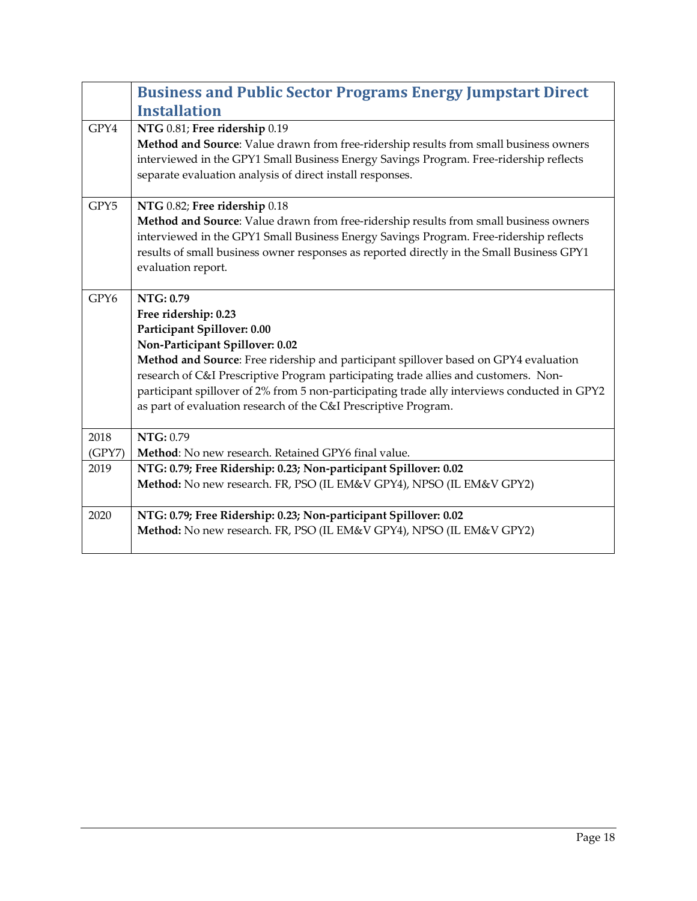<span id="page-17-0"></span>

|        | <b>Business and Public Sector Programs Energy Jumpstart Direct</b>                                                                                                                                                                                                                                                                                                                                                                                    |
|--------|-------------------------------------------------------------------------------------------------------------------------------------------------------------------------------------------------------------------------------------------------------------------------------------------------------------------------------------------------------------------------------------------------------------------------------------------------------|
|        | <b>Installation</b>                                                                                                                                                                                                                                                                                                                                                                                                                                   |
| GPY4   | NTG 0.81; Free ridership 0.19<br>Method and Source: Value drawn from free-ridership results from small business owners<br>interviewed in the GPY1 Small Business Energy Savings Program. Free-ridership reflects<br>separate evaluation analysis of direct install responses.                                                                                                                                                                         |
| GPY5   | NTG 0.82; Free ridership 0.18<br>Method and Source: Value drawn from free-ridership results from small business owners<br>interviewed in the GPY1 Small Business Energy Savings Program. Free-ridership reflects<br>results of small business owner responses as reported directly in the Small Business GPY1<br>evaluation report.                                                                                                                   |
| GPY6   | NTG: 0.79<br>Free ridership: 0.23<br>Participant Spillover: 0.00<br>Non-Participant Spillover: 0.02<br>Method and Source: Free ridership and participant spillover based on GPY4 evaluation<br>research of C&I Prescriptive Program participating trade allies and customers. Non-<br>participant spillover of 2% from 5 non-participating trade ally interviews conducted in GPY2<br>as part of evaluation research of the C&I Prescriptive Program. |
| 2018   | NTG: 0.79                                                                                                                                                                                                                                                                                                                                                                                                                                             |
| (GPY7) | Method: No new research. Retained GPY6 final value.                                                                                                                                                                                                                                                                                                                                                                                                   |
| 2019   | NTG: 0.79; Free Ridership: 0.23; Non-participant Spillover: 0.02<br>Method: No new research. FR, PSO (IL EM&V GPY4), NPSO (IL EM&V GPY2)                                                                                                                                                                                                                                                                                                              |
| 2020   | NTG: 0.79; Free Ridership: 0.23; Non-participant Spillover: 0.02<br>Method: No new research. FR, PSO (IL EM&V GPY4), NPSO (IL EM&V GPY2)                                                                                                                                                                                                                                                                                                              |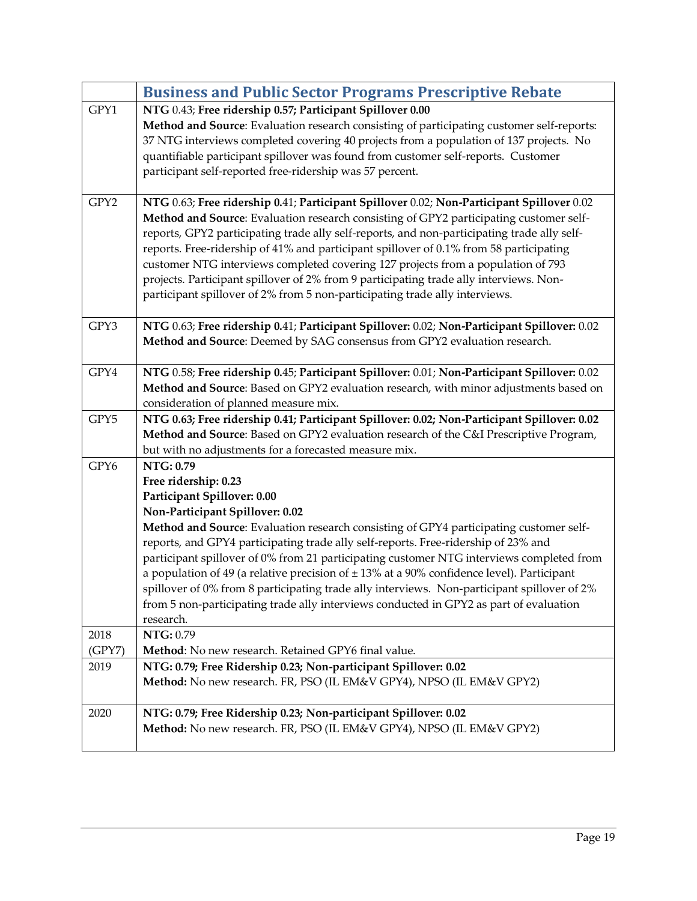<span id="page-18-0"></span>

|                | <b>Business and Public Sector Programs Prescriptive Rebate</b>                                                                                                                                                                                                                                                                                                                                                                                                                                                                                                                                                                                                                         |
|----------------|----------------------------------------------------------------------------------------------------------------------------------------------------------------------------------------------------------------------------------------------------------------------------------------------------------------------------------------------------------------------------------------------------------------------------------------------------------------------------------------------------------------------------------------------------------------------------------------------------------------------------------------------------------------------------------------|
| GPY1           | NTG 0.43; Free ridership 0.57; Participant Spillover 0.00<br>Method and Source: Evaluation research consisting of participating customer self-reports:<br>37 NTG interviews completed covering 40 projects from a population of 137 projects. No<br>quantifiable participant spillover was found from customer self-reports. Customer<br>participant self-reported free-ridership was 57 percent.                                                                                                                                                                                                                                                                                      |
| GPY2           | NTG 0.63; Free ridership 0.41; Participant Spillover 0.02; Non-Participant Spillover 0.02<br>Method and Source: Evaluation research consisting of GPY2 participating customer self-<br>reports, GPY2 participating trade ally self-reports, and non-participating trade ally self-<br>reports. Free-ridership of 41% and participant spillover of 0.1% from 58 participating<br>customer NTG interviews completed covering 127 projects from a population of 793<br>projects. Participant spillover of 2% from 9 participating trade ally interviews. Non-<br>participant spillover of 2% from 5 non-participating trade ally interviews.                                              |
| GPY3           | NTG 0.63; Free ridership 0.41; Participant Spillover: 0.02; Non-Participant Spillover: 0.02<br>Method and Source: Deemed by SAG consensus from GPY2 evaluation research.                                                                                                                                                                                                                                                                                                                                                                                                                                                                                                               |
| GPY4           | NTG 0.58; Free ridership 0.45; Participant Spillover: 0.01; Non-Participant Spillover: 0.02<br>Method and Source: Based on GPY2 evaluation research, with minor adjustments based on<br>consideration of planned measure mix.                                                                                                                                                                                                                                                                                                                                                                                                                                                          |
| GPY5           | NTG 0.63; Free ridership 0.41; Participant Spillover: 0.02; Non-Participant Spillover: 0.02<br>Method and Source: Based on GPY2 evaluation research of the C&I Prescriptive Program,<br>but with no adjustments for a forecasted measure mix.                                                                                                                                                                                                                                                                                                                                                                                                                                          |
| GPY6           | NTG: 0.79<br>Free ridership: 0.23<br>Participant Spillover: 0.00<br>Non-Participant Spillover: 0.02<br>Method and Source: Evaluation research consisting of GPY4 participating customer self-<br>reports, and GPY4 participating trade ally self-reports. Free-ridership of 23% and<br>participant spillover of 0% from 21 participating customer NTG interviews completed from<br>a population of 49 (a relative precision of $\pm$ 13% at a 90% confidence level). Participant<br>spillover of 0% from 8 participating trade ally interviews. Non-participant spillover of 2%<br>from 5 non-participating trade ally interviews conducted in GPY2 as part of evaluation<br>research. |
| 2018<br>(GPY7) | NTG: 0.79<br>Method: No new research. Retained GPY6 final value.                                                                                                                                                                                                                                                                                                                                                                                                                                                                                                                                                                                                                       |
| 2019           | NTG: 0.79; Free Ridership 0.23; Non-participant Spillover: 0.02<br>Method: No new research. FR, PSO (IL EM&V GPY4), NPSO (IL EM&V GPY2)                                                                                                                                                                                                                                                                                                                                                                                                                                                                                                                                                |
| 2020           | NTG: 0.79; Free Ridership 0.23; Non-participant Spillover: 0.02<br>Method: No new research. FR, PSO (IL EM&V GPY4), NPSO (IL EM&V GPY2)                                                                                                                                                                                                                                                                                                                                                                                                                                                                                                                                                |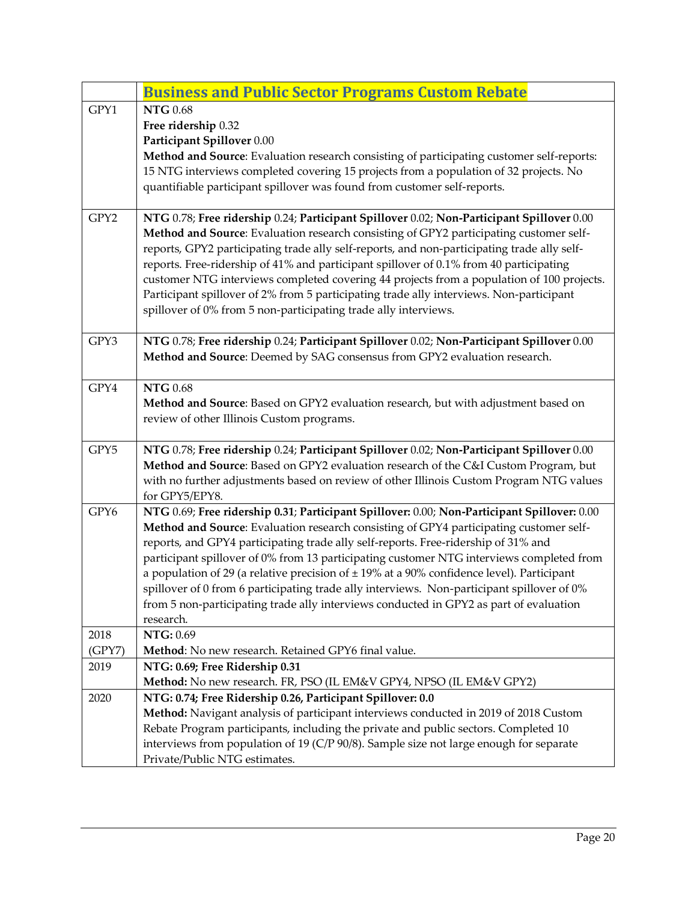<span id="page-19-0"></span>

|        | <b>Business and Public Sector Programs Custom Rebate</b>                                                                                                                             |
|--------|--------------------------------------------------------------------------------------------------------------------------------------------------------------------------------------|
| GPY1   | <b>NTG 0.68</b>                                                                                                                                                                      |
|        | Free ridership 0.32                                                                                                                                                                  |
|        | Participant Spillover 0.00                                                                                                                                                           |
|        | Method and Source: Evaluation research consisting of participating customer self-reports:                                                                                            |
|        | 15 NTG interviews completed covering 15 projects from a population of 32 projects. No<br>quantifiable participant spillover was found from customer self-reports.                    |
|        |                                                                                                                                                                                      |
| GPY2   | NTG 0.78; Free ridership 0.24; Participant Spillover 0.02; Non-Participant Spillover 0.00                                                                                            |
|        | Method and Source: Evaluation research consisting of GPY2 participating customer self-                                                                                               |
|        | reports, GPY2 participating trade ally self-reports, and non-participating trade ally self-                                                                                          |
|        | reports. Free-ridership of 41% and participant spillover of 0.1% from 40 participating                                                                                               |
|        | customer NTG interviews completed covering 44 projects from a population of 100 projects.                                                                                            |
|        | Participant spillover of 2% from 5 participating trade ally interviews. Non-participant                                                                                              |
|        | spillover of 0% from 5 non-participating trade ally interviews.                                                                                                                      |
| GPY3   | NTG 0.78; Free ridership 0.24; Participant Spillover 0.02; Non-Participant Spillover 0.00                                                                                            |
|        | Method and Source: Deemed by SAG consensus from GPY2 evaluation research.                                                                                                            |
|        |                                                                                                                                                                                      |
| GPY4   | <b>NTG 0.68</b>                                                                                                                                                                      |
|        | Method and Source: Based on GPY2 evaluation research, but with adjustment based on                                                                                                   |
|        | review of other Illinois Custom programs.                                                                                                                                            |
| GPY5   | NTG 0.78; Free ridership 0.24; Participant Spillover 0.02; Non-Participant Spillover 0.00                                                                                            |
|        | Method and Source: Based on GPY2 evaluation research of the C&I Custom Program, but                                                                                                  |
|        | with no further adjustments based on review of other Illinois Custom Program NTG values                                                                                              |
|        | for GPY5/EPY8.                                                                                                                                                                       |
| GPY6   | NTG 0.69; Free ridership 0.31; Participant Spillover: 0.00; Non-Participant Spillover: 0.00                                                                                          |
|        | Method and Source: Evaluation research consisting of GPY4 participating customer self-                                                                                               |
|        | reports, and GPY4 participating trade ally self-reports. Free-ridership of 31% and                                                                                                   |
|        | participant spillover of 0% from 13 participating customer NTG interviews completed from                                                                                             |
|        | a population of 29 (a relative precision of $\pm$ 19% at a 90% confidence level). Participant                                                                                        |
|        | spillover of 0 from 6 participating trade ally interviews. Non-participant spillover of 0%<br>from 5 non-participating trade ally interviews conducted in GPY2 as part of evaluation |
|        | research.                                                                                                                                                                            |
| 2018   | NTG: 0.69                                                                                                                                                                            |
| (GPY7) | Method: No new research. Retained GPY6 final value.                                                                                                                                  |
| 2019   | NTG: 0.69; Free Ridership 0.31                                                                                                                                                       |
|        | Method: No new research. FR, PSO (IL EM&V GPY4, NPSO (IL EM&V GPY2)                                                                                                                  |
| 2020   | NTG: 0.74; Free Ridership 0.26, Participant Spillover: 0.0                                                                                                                           |
|        | Method: Navigant analysis of participant interviews conducted in 2019 of 2018 Custom                                                                                                 |
|        | Rebate Program participants, including the private and public sectors. Completed 10                                                                                                  |
|        | interviews from population of 19 (C/P 90/8). Sample size not large enough for separate                                                                                               |
|        | Private/Public NTG estimates.                                                                                                                                                        |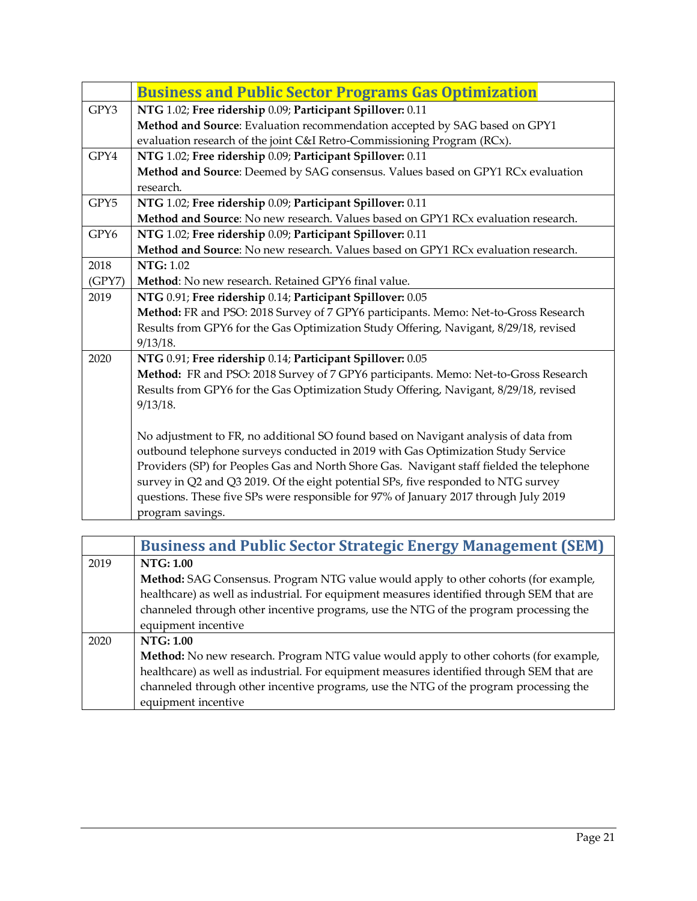<span id="page-20-0"></span>

|        | <b>Business and Public Sector Programs Gas Optimization</b>                              |
|--------|------------------------------------------------------------------------------------------|
| GPY3   | NTG 1.02; Free ridership 0.09; Participant Spillover: 0.11                               |
|        | Method and Source: Evaluation recommendation accepted by SAG based on GPY1               |
|        | evaluation research of the joint C&I Retro-Commissioning Program (RCx).                  |
| GPY4   | NTG 1.02; Free ridership 0.09; Participant Spillover: 0.11                               |
|        | Method and Source: Deemed by SAG consensus. Values based on GPY1 RCx evaluation          |
|        | research.                                                                                |
| GPY5   | NTG 1.02; Free ridership 0.09; Participant Spillover: 0.11                               |
|        | Method and Source: No new research. Values based on GPY1 RCx evaluation research.        |
| GPY6   | NTG 1.02; Free ridership 0.09; Participant Spillover: 0.11                               |
|        | Method and Source: No new research. Values based on GPY1 RCx evaluation research.        |
| 2018   | <b>NTG: 1.02</b>                                                                         |
| (GPY7) | Method: No new research. Retained GPY6 final value.                                      |
| 2019   | NTG 0.91; Free ridership 0.14; Participant Spillover: 0.05                               |
|        | Method: FR and PSO: 2018 Survey of 7 GPY6 participants. Memo: Net-to-Gross Research      |
|        | Results from GPY6 for the Gas Optimization Study Offering, Navigant, 8/29/18, revised    |
|        | 9/13/18.                                                                                 |
| 2020   | NTG 0.91; Free ridership 0.14; Participant Spillover: 0.05                               |
|        | Method: FR and PSO: 2018 Survey of 7 GPY6 participants. Memo: Net-to-Gross Research      |
|        | Results from GPY6 for the Gas Optimization Study Offering, Navigant, 8/29/18, revised    |
|        | 9/13/18.                                                                                 |
|        | No adjustment to FR, no additional SO found based on Navigant analysis of data from      |
|        | outbound telephone surveys conducted in 2019 with Gas Optimization Study Service         |
|        | Providers (SP) for Peoples Gas and North Shore Gas. Navigant staff fielded the telephone |
|        | survey in Q2 and Q3 2019. Of the eight potential SPs, five responded to NTG survey       |
|        | questions. These five SPs were responsible for 97% of January 2017 through July 2019     |
|        | program savings.                                                                         |
|        |                                                                                          |

<span id="page-20-1"></span>

|      | <b>Business and Public Sector Strategic Energy Management (SEM)</b>                       |
|------|-------------------------------------------------------------------------------------------|
| 2019 | NTG: 1.00                                                                                 |
|      | Method: SAG Consensus. Program NTG value would apply to other cohorts (for example,       |
|      | healthcare) as well as industrial. For equipment measures identified through SEM that are |
|      | channeled through other incentive programs, use the NTG of the program processing the     |
|      | equipment incentive                                                                       |
| 2020 | <b>NTG: 1.00</b>                                                                          |
|      | Method: No new research. Program NTG value would apply to other cohorts (for example,     |
|      | healthcare) as well as industrial. For equipment measures identified through SEM that are |
|      | channeled through other incentive programs, use the NTG of the program processing the     |
|      | equipment incentive                                                                       |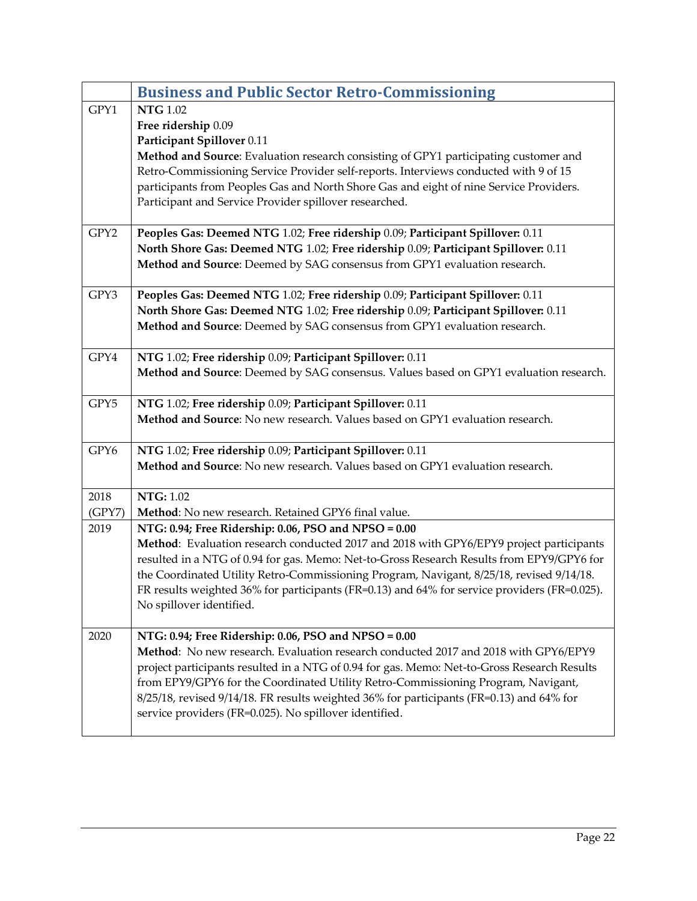<span id="page-21-0"></span>

|                | <b>Business and Public Sector Retro-Commissioning</b>                                                                                       |
|----------------|---------------------------------------------------------------------------------------------------------------------------------------------|
| GPY1           | <b>NTG</b> 1.02                                                                                                                             |
|                | Free ridership 0.09                                                                                                                         |
|                | Participant Spillover 0.11                                                                                                                  |
|                | Method and Source: Evaluation research consisting of GPY1 participating customer and                                                        |
|                | Retro-Commissioning Service Provider self-reports. Interviews conducted with 9 of 15                                                        |
|                | participants from Peoples Gas and North Shore Gas and eight of nine Service Providers.                                                      |
|                | Participant and Service Provider spillover researched.                                                                                      |
| GPY2           | Peoples Gas: Deemed NTG 1.02; Free ridership 0.09; Participant Spillover: 0.11                                                              |
|                | North Shore Gas: Deemed NTG 1.02; Free ridership 0.09; Participant Spillover: 0.11                                                          |
|                | Method and Source: Deemed by SAG consensus from GPY1 evaluation research.                                                                   |
|                |                                                                                                                                             |
| GPY3           | Peoples Gas: Deemed NTG 1.02; Free ridership 0.09; Participant Spillover: 0.11                                                              |
|                | North Shore Gas: Deemed NTG 1.02; Free ridership 0.09; Participant Spillover: 0.11                                                          |
|                | Method and Source: Deemed by SAG consensus from GPY1 evaluation research.                                                                   |
| GPY4           | NTG 1.02; Free ridership 0.09; Participant Spillover: 0.11                                                                                  |
|                | Method and Source: Deemed by SAG consensus. Values based on GPY1 evaluation research.                                                       |
|                |                                                                                                                                             |
| GPY5           | NTG 1.02; Free ridership 0.09; Participant Spillover: 0.11<br>Method and Source: No new research. Values based on GPY1 evaluation research. |
|                |                                                                                                                                             |
| GPY6           | NTG 1.02; Free ridership 0.09; Participant Spillover: 0.11                                                                                  |
|                | Method and Source: No new research. Values based on GPY1 evaluation research.                                                               |
| 2018           | <b>NTG: 1.02</b>                                                                                                                            |
|                | Method: No new research. Retained GPY6 final value.                                                                                         |
| (GPY7)<br>2019 | NTG: 0.94; Free Ridership: 0.06, PSO and NPSO = 0.00                                                                                        |
|                | Method: Evaluation research conducted 2017 and 2018 with GPY6/EPY9 project participants                                                     |
|                | resulted in a NTG of 0.94 for gas. Memo: Net-to-Gross Research Results from EPY9/GPY6 for                                                   |
|                | the Coordinated Utility Retro-Commissioning Program, Navigant, 8/25/18, revised 9/14/18.                                                    |
|                | FR results weighted 36% for participants (FR=0.13) and 64% for service providers (FR=0.025).                                                |
|                | No spillover identified.                                                                                                                    |
|                |                                                                                                                                             |
| 2020           | NTG: 0.94; Free Ridership: 0.06, PSO and NPSO = 0.00                                                                                        |
|                | Method: No new research. Evaluation research conducted 2017 and 2018 with GPY6/EPY9                                                         |
|                | project participants resulted in a NTG of 0.94 for gas. Memo: Net-to-Gross Research Results                                                 |
|                | from EPY9/GPY6 for the Coordinated Utility Retro-Commissioning Program, Navigant,                                                           |
|                | 8/25/18, revised 9/14/18. FR results weighted 36% for participants (FR=0.13) and 64% for                                                    |
|                | service providers (FR=0.025). No spillover identified.                                                                                      |
|                |                                                                                                                                             |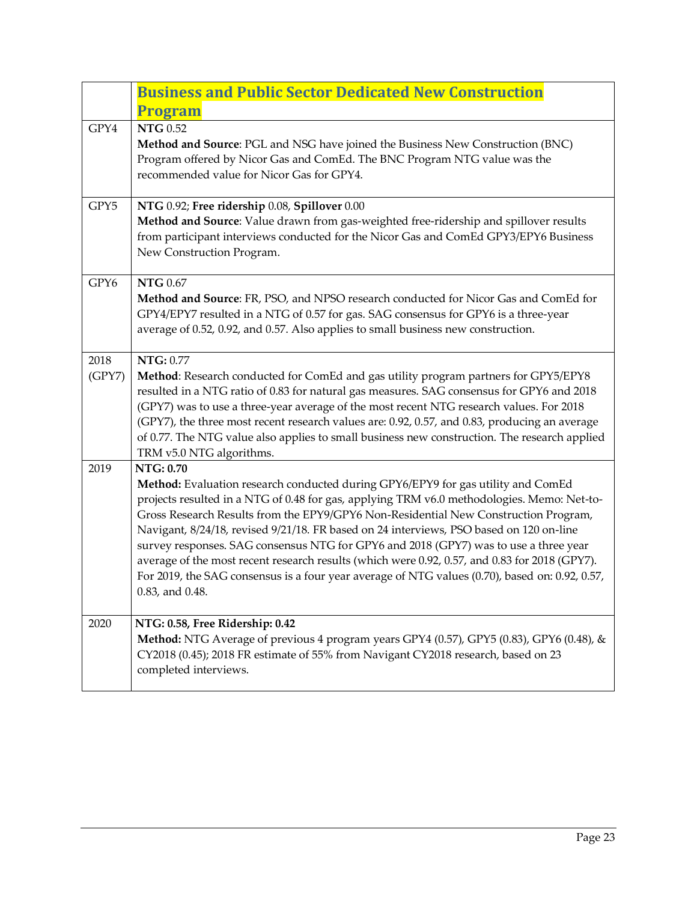<span id="page-22-0"></span>

|                | <b>Business and Public Sector Dedicated New Construction</b><br><b>Program</b>                                                                                                                                                                                                                                                                                                                                                                                                                                                                                                                                                                                                                     |
|----------------|----------------------------------------------------------------------------------------------------------------------------------------------------------------------------------------------------------------------------------------------------------------------------------------------------------------------------------------------------------------------------------------------------------------------------------------------------------------------------------------------------------------------------------------------------------------------------------------------------------------------------------------------------------------------------------------------------|
| GPY4           | <b>NTG 0.52</b><br>Method and Source: PGL and NSG have joined the Business New Construction (BNC)<br>Program offered by Nicor Gas and ComEd. The BNC Program NTG value was the<br>recommended value for Nicor Gas for GPY4.                                                                                                                                                                                                                                                                                                                                                                                                                                                                        |
| GPY5           | NTG 0.92; Free ridership 0.08, Spillover 0.00<br>Method and Source: Value drawn from gas-weighted free-ridership and spillover results<br>from participant interviews conducted for the Nicor Gas and ComEd GPY3/EPY6 Business<br>New Construction Program.                                                                                                                                                                                                                                                                                                                                                                                                                                        |
| GPY6           | <b>NTG 0.67</b><br>Method and Source: FR, PSO, and NPSO research conducted for Nicor Gas and ComEd for<br>GPY4/EPY7 resulted in a NTG of 0.57 for gas. SAG consensus for GPY6 is a three-year<br>average of 0.52, 0.92, and 0.57. Also applies to small business new construction.                                                                                                                                                                                                                                                                                                                                                                                                                 |
| 2018<br>(GPY7) | NTG: 0.77<br>Method: Research conducted for ComEd and gas utility program partners for GPY5/EPY8<br>resulted in a NTG ratio of 0.83 for natural gas measures. SAG consensus for GPY6 and 2018<br>(GPY7) was to use a three-year average of the most recent NTG research values. For 2018<br>(GPY7), the three most recent research values are: 0.92, 0.57, and 0.83, producing an average<br>of 0.77. The NTG value also applies to small business new construction. The research applied<br>TRM v5.0 NTG algorithms.                                                                                                                                                                              |
| 2019           | <b>NTG: 0.70</b><br>Method: Evaluation research conducted during GPY6/EPY9 for gas utility and ComEd<br>projects resulted in a NTG of 0.48 for gas, applying TRM v6.0 methodologies. Memo: Net-to-<br>Gross Research Results from the EPY9/GPY6 Non-Residential New Construction Program,<br>Navigant, 8/24/18, revised 9/21/18. FR based on 24 interviews, PSO based on 120 on-line<br>survey responses. SAG consensus NTG for GPY6 and 2018 (GPY7) was to use a three year<br>average of the most recent research results (which were 0.92, 0.57, and 0.83 for 2018 (GPY7).<br>For 2019, the SAG consensus is a four year average of NTG values (0.70), based on: 0.92, 0.57,<br>0.83, and 0.48. |
| 2020           | NTG: 0.58, Free Ridership: 0.42<br>Method: NTG Average of previous 4 program years GPY4 (0.57), GPY5 (0.83), GPY6 (0.48), &<br>CY2018 (0.45); 2018 FR estimate of 55% from Navigant CY2018 research, based on 23<br>completed interviews.                                                                                                                                                                                                                                                                                                                                                                                                                                                          |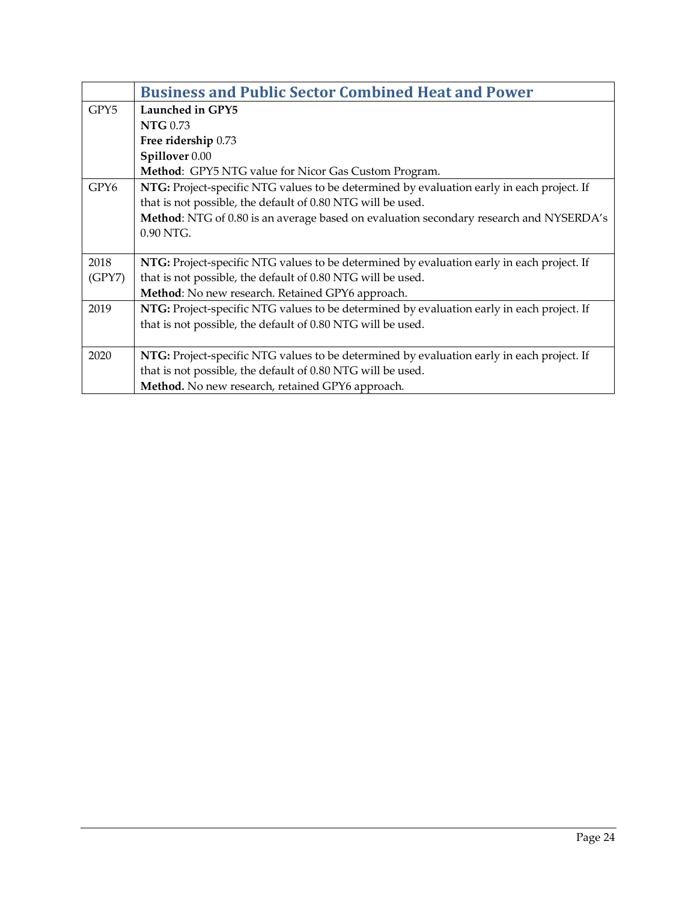<span id="page-23-0"></span>

|        | <b>Business and Public Sector Combined Heat and Power</b>                                 |
|--------|-------------------------------------------------------------------------------------------|
| GPY5   | Launched in GPY5                                                                          |
|        | <b>NTG</b> 0.73                                                                           |
|        | Free ridership 0.73                                                                       |
|        | Spillover 0.00                                                                            |
|        | Method: GPY5 NTG value for Nicor Gas Custom Program.                                      |
| GPY6   | NTG: Project-specific NTG values to be determined by evaluation early in each project. If |
|        | that is not possible, the default of 0.80 NTG will be used.                               |
|        | Method: NTG of 0.80 is an average based on evaluation secondary research and NYSERDA's    |
|        | $0.90$ NTG.                                                                               |
|        |                                                                                           |
| 2018   | NTG: Project-specific NTG values to be determined by evaluation early in each project. If |
| (GPY7) | that is not possible, the default of 0.80 NTG will be used.                               |
|        | Method: No new research. Retained GPY6 approach.                                          |
| 2019   | NTG: Project-specific NTG values to be determined by evaluation early in each project. If |
|        | that is not possible, the default of 0.80 NTG will be used.                               |
|        |                                                                                           |
| 2020   | NTG: Project-specific NTG values to be determined by evaluation early in each project. If |
|        | that is not possible, the default of 0.80 NTG will be used.                               |
|        | Method. No new research, retained GPY6 approach.                                          |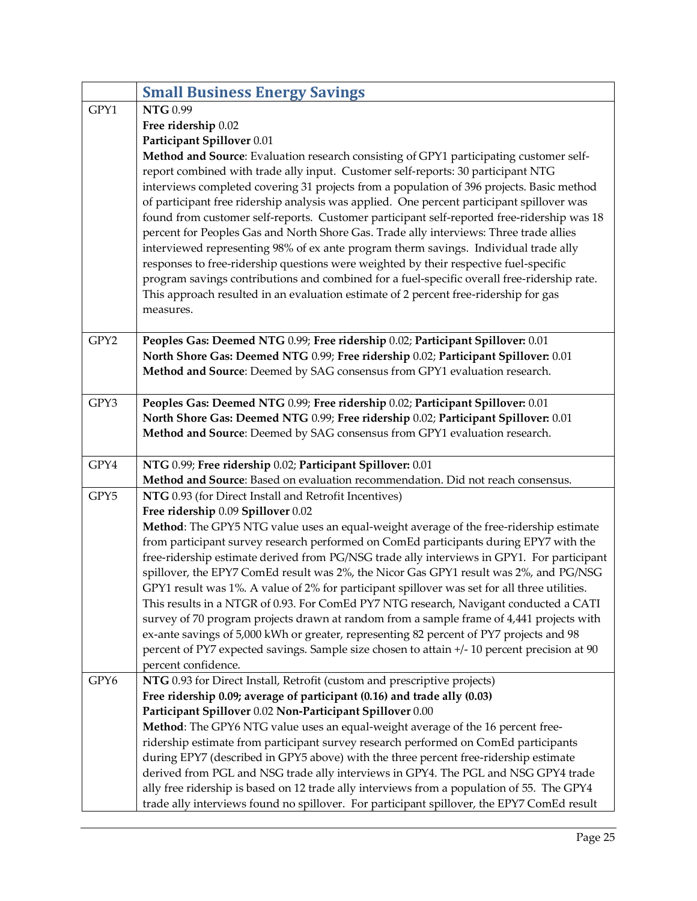<span id="page-24-0"></span>

|      | <b>Small Business Energy Savings</b>                                                                                                                                                                                                                                                                                                                                                                                                                               |
|------|--------------------------------------------------------------------------------------------------------------------------------------------------------------------------------------------------------------------------------------------------------------------------------------------------------------------------------------------------------------------------------------------------------------------------------------------------------------------|
| GPY1 | <b>NTG 0.99</b>                                                                                                                                                                                                                                                                                                                                                                                                                                                    |
|      | Free ridership 0.02                                                                                                                                                                                                                                                                                                                                                                                                                                                |
|      | Participant Spillover 0.01                                                                                                                                                                                                                                                                                                                                                                                                                                         |
|      | Method and Source: Evaluation research consisting of GPY1 participating customer self-<br>report combined with trade ally input. Customer self-reports: 30 participant NTG<br>interviews completed covering 31 projects from a population of 396 projects. Basic method                                                                                                                                                                                            |
|      | of participant free ridership analysis was applied. One percent participant spillover was<br>found from customer self-reports. Customer participant self-reported free-ridership was 18<br>percent for Peoples Gas and North Shore Gas. Trade ally interviews: Three trade allies<br>interviewed representing 98% of ex ante program therm savings. Individual trade ally<br>responses to free-ridership questions were weighted by their respective fuel-specific |
|      | program savings contributions and combined for a fuel-specific overall free-ridership rate.<br>This approach resulted in an evaluation estimate of 2 percent free-ridership for gas<br>measures.                                                                                                                                                                                                                                                                   |
| GPY2 | Peoples Gas: Deemed NTG 0.99; Free ridership 0.02; Participant Spillover: 0.01                                                                                                                                                                                                                                                                                                                                                                                     |
|      | North Shore Gas: Deemed NTG 0.99; Free ridership 0.02; Participant Spillover: 0.01                                                                                                                                                                                                                                                                                                                                                                                 |
|      | Method and Source: Deemed by SAG consensus from GPY1 evaluation research.                                                                                                                                                                                                                                                                                                                                                                                          |
|      |                                                                                                                                                                                                                                                                                                                                                                                                                                                                    |
| GPY3 | Peoples Gas: Deemed NTG 0.99; Free ridership 0.02; Participant Spillover: 0.01                                                                                                                                                                                                                                                                                                                                                                                     |
|      | North Shore Gas: Deemed NTG 0.99; Free ridership 0.02; Participant Spillover: 0.01                                                                                                                                                                                                                                                                                                                                                                                 |
|      | Method and Source: Deemed by SAG consensus from GPY1 evaluation research.                                                                                                                                                                                                                                                                                                                                                                                          |
| GPY4 | NTG 0.99; Free ridership 0.02; Participant Spillover: 0.01                                                                                                                                                                                                                                                                                                                                                                                                         |
|      | Method and Source: Based on evaluation recommendation. Did not reach consensus.                                                                                                                                                                                                                                                                                                                                                                                    |
| GPY5 | NTG 0.93 (for Direct Install and Retrofit Incentives)                                                                                                                                                                                                                                                                                                                                                                                                              |
|      | Free ridership 0.09 Spillover 0.02                                                                                                                                                                                                                                                                                                                                                                                                                                 |
|      | Method: The GPY5 NTG value uses an equal-weight average of the free-ridership estimate                                                                                                                                                                                                                                                                                                                                                                             |
|      | from participant survey research performed on ComEd participants during EPY7 with the                                                                                                                                                                                                                                                                                                                                                                              |
|      | free-ridership estimate derived from PG/NSG trade ally interviews in GPY1. For participant                                                                                                                                                                                                                                                                                                                                                                         |
|      | spillover, the EPY7 ComEd result was 2%, the Nicor Gas GPY1 result was 2%, and PG/NSG                                                                                                                                                                                                                                                                                                                                                                              |
|      | GPY1 result was 1%. A value of 2% for participant spillover was set for all three utilities.                                                                                                                                                                                                                                                                                                                                                                       |
|      | This results in a NTGR of 0.93. For ComEd PY7 NTG research, Navigant conducted a CATI                                                                                                                                                                                                                                                                                                                                                                              |
|      | survey of 70 program projects drawn at random from a sample frame of 4,441 projects with                                                                                                                                                                                                                                                                                                                                                                           |
|      | ex-ante savings of 5,000 kWh or greater, representing 82 percent of PY7 projects and 98                                                                                                                                                                                                                                                                                                                                                                            |
|      | percent of PY7 expected savings. Sample size chosen to attain +/- 10 percent precision at 90                                                                                                                                                                                                                                                                                                                                                                       |
|      | percent confidence.                                                                                                                                                                                                                                                                                                                                                                                                                                                |
| GPY6 | NTG 0.93 for Direct Install, Retrofit (custom and prescriptive projects)                                                                                                                                                                                                                                                                                                                                                                                           |
|      | Free ridership 0.09; average of participant (0.16) and trade ally (0.03)<br>Participant Spillover 0.02 Non-Participant Spillover 0.00                                                                                                                                                                                                                                                                                                                              |
|      | Method: The GPY6 NTG value uses an equal-weight average of the 16 percent free-                                                                                                                                                                                                                                                                                                                                                                                    |
|      | ridership estimate from participant survey research performed on ComEd participants                                                                                                                                                                                                                                                                                                                                                                                |
|      | during EPY7 (described in GPY5 above) with the three percent free-ridership estimate                                                                                                                                                                                                                                                                                                                                                                               |
|      | derived from PGL and NSG trade ally interviews in GPY4. The PGL and NSG GPY4 trade                                                                                                                                                                                                                                                                                                                                                                                 |
|      | ally free ridership is based on 12 trade ally interviews from a population of 55. The GPY4                                                                                                                                                                                                                                                                                                                                                                         |
|      | trade ally interviews found no spillover. For participant spillover, the EPY7 ComEd result                                                                                                                                                                                                                                                                                                                                                                         |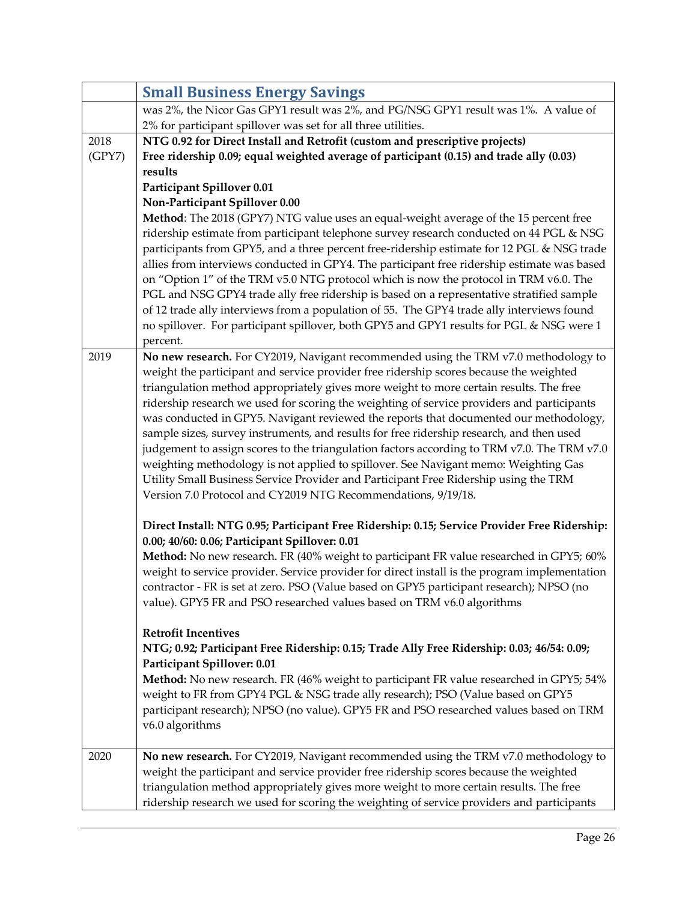|        | <b>Small Business Energy Savings</b>                                                                                                                                                                                                                                                                                                                                                                                                                                                                                                                                                                                                                                                                                                                                                                               |
|--------|--------------------------------------------------------------------------------------------------------------------------------------------------------------------------------------------------------------------------------------------------------------------------------------------------------------------------------------------------------------------------------------------------------------------------------------------------------------------------------------------------------------------------------------------------------------------------------------------------------------------------------------------------------------------------------------------------------------------------------------------------------------------------------------------------------------------|
|        | was 2%, the Nicor Gas GPY1 result was 2%, and PG/NSG GPY1 result was 1%. A value of                                                                                                                                                                                                                                                                                                                                                                                                                                                                                                                                                                                                                                                                                                                                |
|        | 2% for participant spillover was set for all three utilities.                                                                                                                                                                                                                                                                                                                                                                                                                                                                                                                                                                                                                                                                                                                                                      |
| 2018   | NTG 0.92 for Direct Install and Retrofit (custom and prescriptive projects)                                                                                                                                                                                                                                                                                                                                                                                                                                                                                                                                                                                                                                                                                                                                        |
| (GPY7) | Free ridership 0.09; equal weighted average of participant (0.15) and trade ally (0.03)                                                                                                                                                                                                                                                                                                                                                                                                                                                                                                                                                                                                                                                                                                                            |
|        | results                                                                                                                                                                                                                                                                                                                                                                                                                                                                                                                                                                                                                                                                                                                                                                                                            |
|        | <b>Participant Spillover 0.01</b>                                                                                                                                                                                                                                                                                                                                                                                                                                                                                                                                                                                                                                                                                                                                                                                  |
|        | Non-Participant Spillover 0.00                                                                                                                                                                                                                                                                                                                                                                                                                                                                                                                                                                                                                                                                                                                                                                                     |
|        | Method: The 2018 (GPY7) NTG value uses an equal-weight average of the 15 percent free<br>ridership estimate from participant telephone survey research conducted on 44 PGL & NSG<br>participants from GPY5, and a three percent free-ridership estimate for 12 PGL & NSG trade<br>allies from interviews conducted in GPY4. The participant free ridership estimate was based<br>on "Option 1" of the TRM v5.0 NTG protocol which is now the protocol in TRM v6.0. The<br>PGL and NSG GPY4 trade ally free ridership is based on a representative stratified sample<br>of 12 trade ally interviews from a population of 55. The GPY4 trade ally interviews found<br>no spillover. For participant spillover, both GPY5 and GPY1 results for PGL & NSG were 1<br>percent.                                           |
| 2019   | No new research. For CY2019, Navigant recommended using the TRM v7.0 methodology to                                                                                                                                                                                                                                                                                                                                                                                                                                                                                                                                                                                                                                                                                                                                |
|        | weight the participant and service provider free ridership scores because the weighted<br>triangulation method appropriately gives more weight to more certain results. The free<br>ridership research we used for scoring the weighting of service providers and participants<br>was conducted in GPY5. Navigant reviewed the reports that documented our methodology,<br>sample sizes, survey instruments, and results for free ridership research, and then used<br>judgement to assign scores to the triangulation factors according to TRM v7.0. The TRM v7.0<br>weighting methodology is not applied to spillover. See Navigant memo: Weighting Gas<br>Utility Small Business Service Provider and Participant Free Ridership using the TRM<br>Version 7.0 Protocol and CY2019 NTG Recommendations, 9/19/18. |
|        | Direct Install: NTG 0.95; Participant Free Ridership: 0.15; Service Provider Free Ridership:<br>0.00; 40/60: 0.06; Participant Spillover: 0.01                                                                                                                                                                                                                                                                                                                                                                                                                                                                                                                                                                                                                                                                     |
|        | Method: No new research. FR (40% weight to participant FR value researched in GPY5; 60%<br>weight to service provider. Service provider for direct install is the program implementation<br>contractor - FR is set at zero. PSO (Value based on GPY5 participant research); NPSO (no<br>value). GPY5 FR and PSO researched values based on TRM v6.0 algorithms                                                                                                                                                                                                                                                                                                                                                                                                                                                     |
|        | <b>Retrofit Incentives</b><br>NTG; 0.92; Participant Free Ridership: 0.15; Trade Ally Free Ridership: 0.03; 46/54: 0.09;<br>Participant Spillover: 0.01                                                                                                                                                                                                                                                                                                                                                                                                                                                                                                                                                                                                                                                            |
|        | Method: No new research. FR (46% weight to participant FR value researched in GPY5; 54%<br>weight to FR from GPY4 PGL & NSG trade ally research); PSO (Value based on GPY5<br>participant research); NPSO (no value). GPY5 FR and PSO researched values based on TRM<br>v6.0 algorithms                                                                                                                                                                                                                                                                                                                                                                                                                                                                                                                            |
| 2020   | No new research. For CY2019, Navigant recommended using the TRM v7.0 methodology to<br>weight the participant and service provider free ridership scores because the weighted<br>triangulation method appropriately gives more weight to more certain results. The free<br>ridership research we used for scoring the weighting of service providers and participants                                                                                                                                                                                                                                                                                                                                                                                                                                              |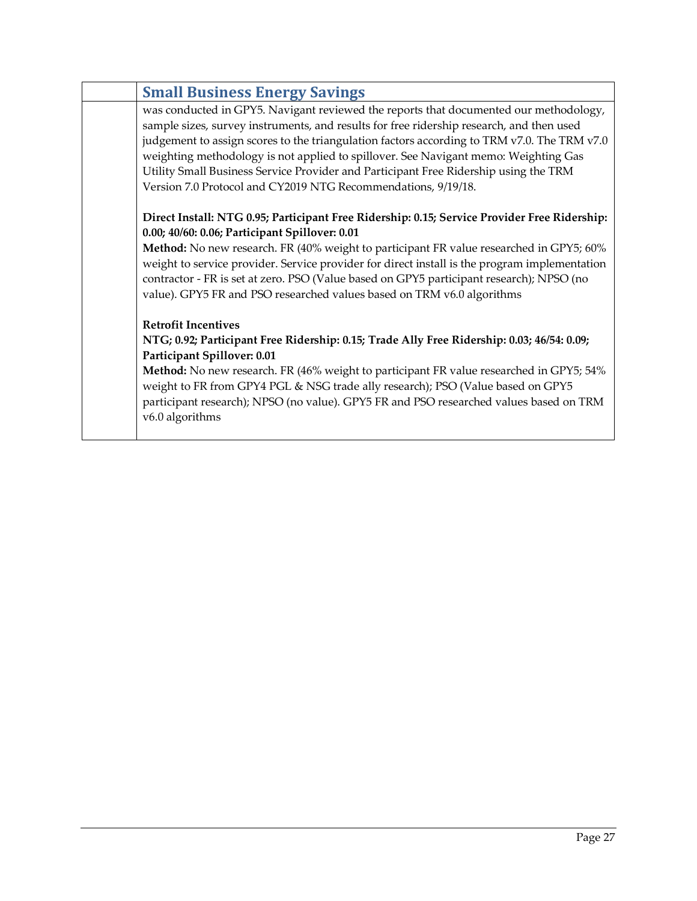| <b>Small Business Energy Savings</b>                                                                                                                                                                                                                                                                                                                                                                                                                                                                                             |
|----------------------------------------------------------------------------------------------------------------------------------------------------------------------------------------------------------------------------------------------------------------------------------------------------------------------------------------------------------------------------------------------------------------------------------------------------------------------------------------------------------------------------------|
| was conducted in GPY5. Navigant reviewed the reports that documented our methodology,<br>sample sizes, survey instruments, and results for free ridership research, and then used<br>judgement to assign scores to the triangulation factors according to TRM v7.0. The TRM v7.0<br>weighting methodology is not applied to spillover. See Navigant memo: Weighting Gas<br>Utility Small Business Service Provider and Participant Free Ridership using the TRM<br>Version 7.0 Protocol and CY2019 NTG Recommendations, 9/19/18. |
| Direct Install: NTG 0.95; Participant Free Ridership: 0.15; Service Provider Free Ridership:<br>0.00; 40/60: 0.06; Participant Spillover: 0.01<br>Method: No new research. FR (40% weight to participant FR value researched in GPY5; 60%<br>weight to service provider. Service provider for direct install is the program implementation<br>contractor - FR is set at zero. PSO (Value based on GPY5 participant research); NPSO (no<br>value). GPY5 FR and PSO researched values based on TRM v6.0 algorithms                 |
| <b>Retrofit Incentives</b><br>NTG; 0.92; Participant Free Ridership: 0.15; Trade Ally Free Ridership: 0.03; 46/54: 0.09;<br>Participant Spillover: 0.01<br>Method: No new research. FR (46% weight to participant FR value researched in GPY5; 54%<br>weight to FR from GPY4 PGL & NSG trade ally research); PSO (Value based on GPY5<br>participant research); NPSO (no value). GPY5 FR and PSO researched values based on TRM<br>v6.0 algorithms                                                                               |